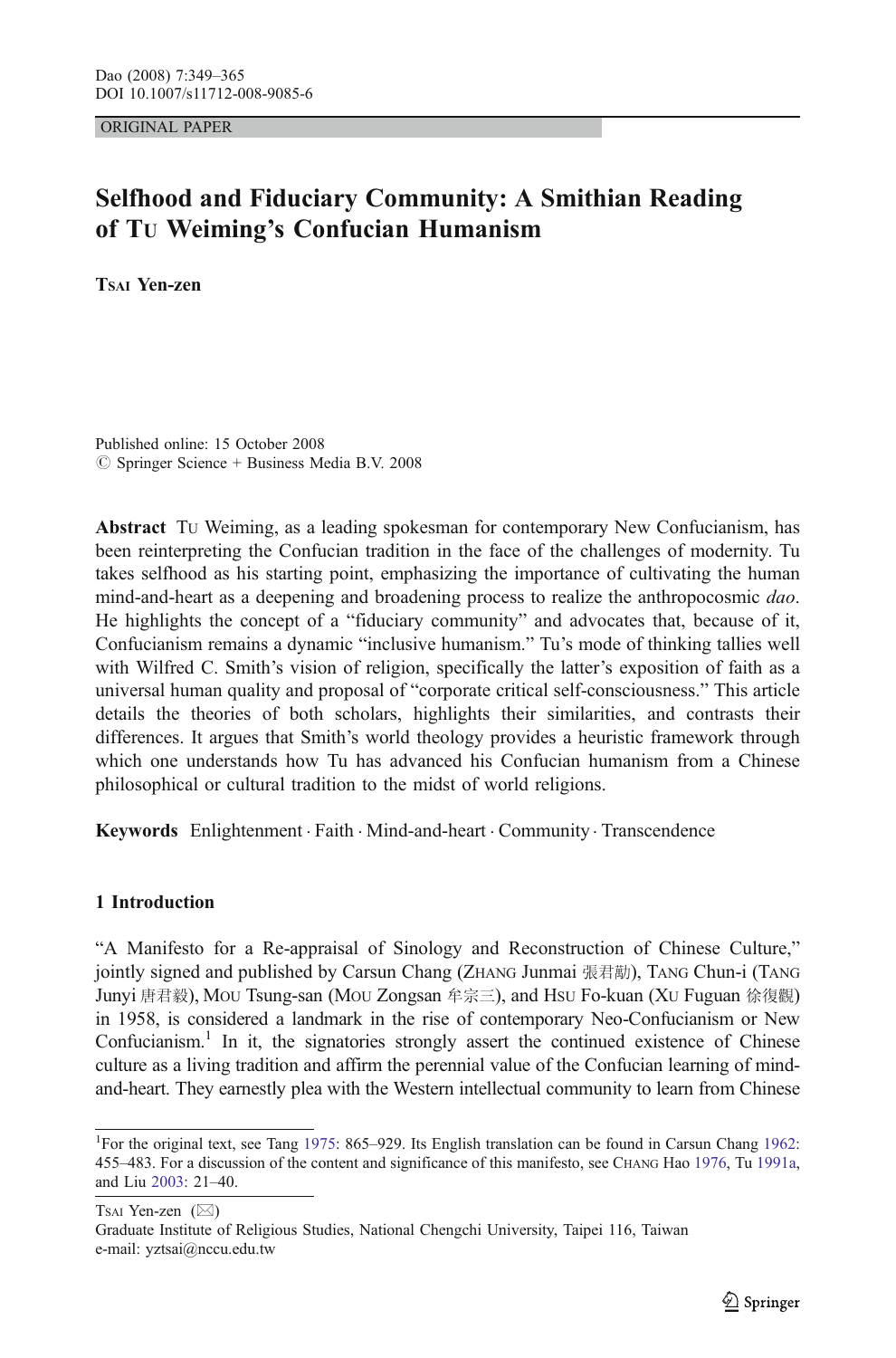ORIGINAL PAPER

# Selfhood and Fiduciary Community: A Smithian Reading of TU Weiming's Confucian Humanism

TSAI Yen-zen

Published online: 15 October 2008  $\circ$  Springer Science + Business Media B.V. 2008

Abstract TU Weiming, as a leading spokesman for contemporary New Confucianism, has been reinterpreting the Confucian tradition in the face of the challenges of modernity. Tu takes selfhood as his starting point, emphasizing the importance of cultivating the human mind-and-heart as a deepening and broadening process to realize the anthropocosmic dao. He highlights the concept of a "fiduciary community" and advocates that, because of it, Confucianism remains a dynamic "inclusive humanism." Tu's mode of thinking tallies well with Wilfred C. Smith's vision of religion, specifically the latter's exposition of faith as a universal human quality and proposal of "corporate critical self-consciousness." This article details the theories of both scholars, highlights their similarities, and contrasts their differences. It argues that Smith's world theology provides a heuristic framework through which one understands how Tu has advanced his Confucian humanism from a Chinese philosophical or cultural tradition to the midst of world religions.

Keywords Enlightenment . Faith . Mind-and-heart . Community . Transcendence

## 1 Introduction

"A Manifesto for a Re-appraisal of Sinology and Reconstruction of Chinese Culture," jointly signed and published by Carsun Chang (ZHANG Junmai 張君勱), TANG Chun-i (TANG Junyi 唐君毅), MOU Tsung-san (MOU Zongsan 牟宗三), and HSU Fo-kuan (XU Fuguan 徐復觀) in 1958, is considered a landmark in the rise of contemporary Neo-Confucianism or New Confucianism.<sup>1</sup> In it, the signatories strongly assert the continued existence of Chinese culture as a living tradition and affirm the perennial value of the Confucian learning of mindand-heart. They earnestly plea with the Western intellectual community to learn from Chinese

Tsai Yen-zen ( $\boxtimes$ )

Graduate Institute of Religious Studies, National Chengchi University, Taipei 116, Taiwan e-mail: yztsai@nccu.edu.tw

<sup>&</sup>lt;sup>1</sup>For the original text, see Tang [1975:](#page-16-0) 865-929. Its English translation can be found in Carsun Chang [1962](#page-15-0): 455–483. For a discussion of the content and significance of this manifesto, see CHANG Hao [1976](#page-15-0), Tu [1991a,](#page-16-0) and Liu [2003](#page-15-0): 21–40.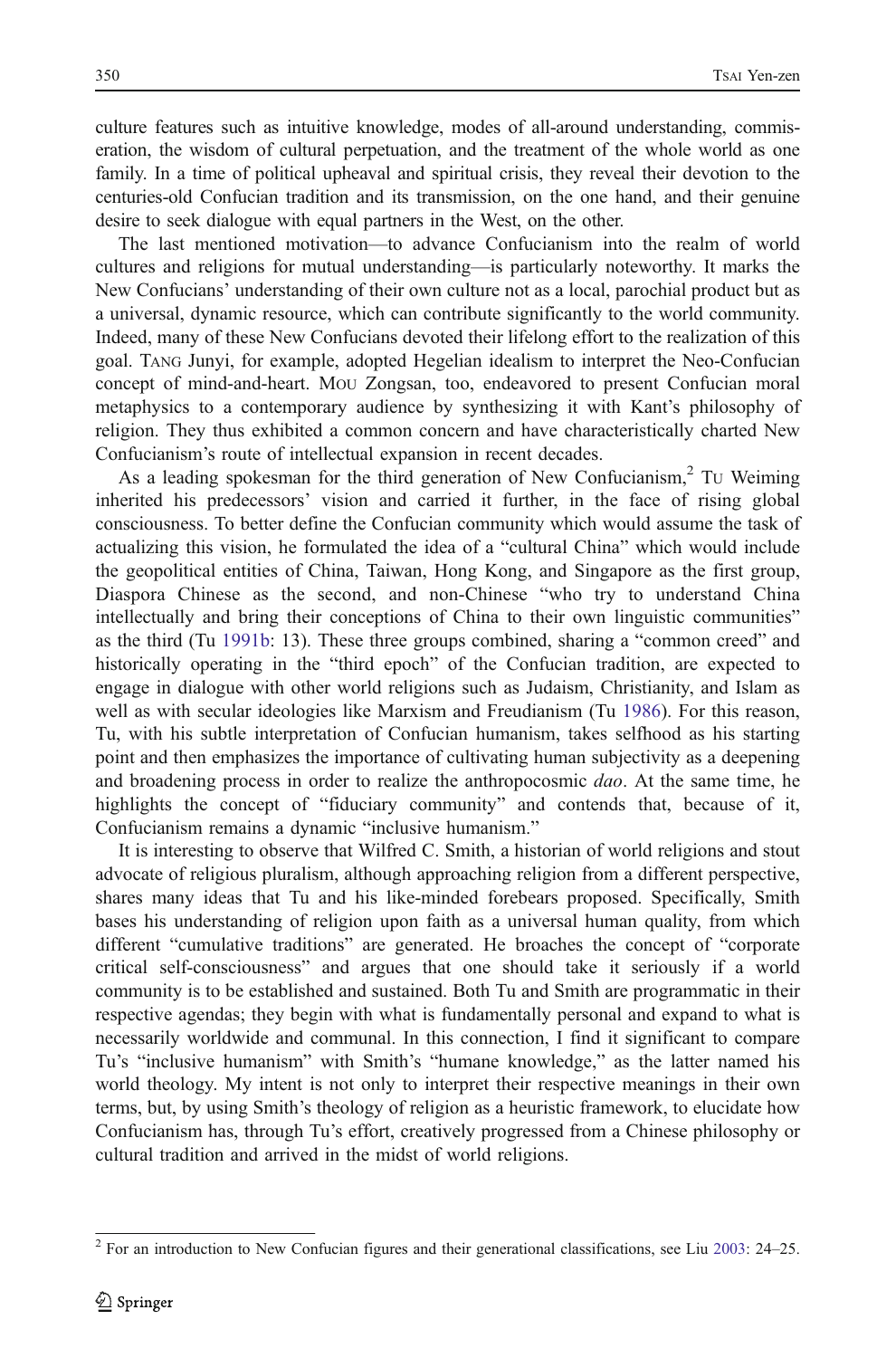culture features such as intuitive knowledge, modes of all-around understanding, commiseration, the wisdom of cultural perpetuation, and the treatment of the whole world as one family. In a time of political upheaval and spiritual crisis, they reveal their devotion to the centuries-old Confucian tradition and its transmission, on the one hand, and their genuine desire to seek dialogue with equal partners in the West, on the other.

The last mentioned motivation—to advance Confucianism into the realm of world cultures and religions for mutual understanding—is particularly noteworthy. It marks the New Confucians' understanding of their own culture not as a local, parochial product but as a universal, dynamic resource, which can contribute significantly to the world community. Indeed, many of these New Confucians devoted their lifelong effort to the realization of this goal. TANG Junyi, for example, adopted Hegelian idealism to interpret the Neo-Confucian concept of mind-and-heart. MOU Zongsan, too, endeavored to present Confucian moral metaphysics to a contemporary audience by synthesizing it with Kant's philosophy of religion. They thus exhibited a common concern and have characteristically charted New Confucianism's route of intellectual expansion in recent decades.

As a leading spokesman for the third generation of New Confucianism, $2$  TU Weiming inherited his predecessors' vision and carried it further, in the face of rising global consciousness. To better define the Confucian community which would assume the task of actualizing this vision, he formulated the idea of a "cultural China" which would include the geopolitical entities of China, Taiwan, Hong Kong, and Singapore as the first group, Diaspora Chinese as the second, and non-Chinese "who try to understand China intellectually and bring their conceptions of China to their own linguistic communities" as the third (Tu [1991b](#page-16-0): 13). These three groups combined, sharing a "common creed" and historically operating in the "third epoch" of the Confucian tradition, are expected to engage in dialogue with other world religions such as Judaism, Christianity, and Islam as well as with secular ideologies like Marxism and Freudianism (Tu [1986](#page-16-0)). For this reason, Tu, with his subtle interpretation of Confucian humanism, takes selfhood as his starting point and then emphasizes the importance of cultivating human subjectivity as a deepening and broadening process in order to realize the anthropocosmic *dao*. At the same time, he highlights the concept of "fiduciary community" and contends that, because of it, Confucianism remains a dynamic "inclusive humanism."

It is interesting to observe that Wilfred C. Smith, a historian of world religions and stout advocate of religious pluralism, although approaching religion from a different perspective, shares many ideas that Tu and his like-minded forebears proposed. Specifically, Smith bases his understanding of religion upon faith as a universal human quality, from which different "cumulative traditions" are generated. He broaches the concept of "corporate critical self-consciousness" and argues that one should take it seriously if a world community is to be established and sustained. Both Tu and Smith are programmatic in their respective agendas; they begin with what is fundamentally personal and expand to what is necessarily worldwide and communal. In this connection, I find it significant to compare Tu's "inclusive humanism" with Smith's "humane knowledge," as the latter named his world theology. My intent is not only to interpret their respective meanings in their own terms, but, by using Smith's theology of religion as a heuristic framework, to elucidate how Confucianism has, through Tu's effort, creatively progressed from a Chinese philosophy or cultural tradition and arrived in the midst of world religions.

<sup>&</sup>lt;sup>2</sup> For an introduction to New Confucian figures and their generational classifications, see Liu [2003](#page-15-0): 24–25.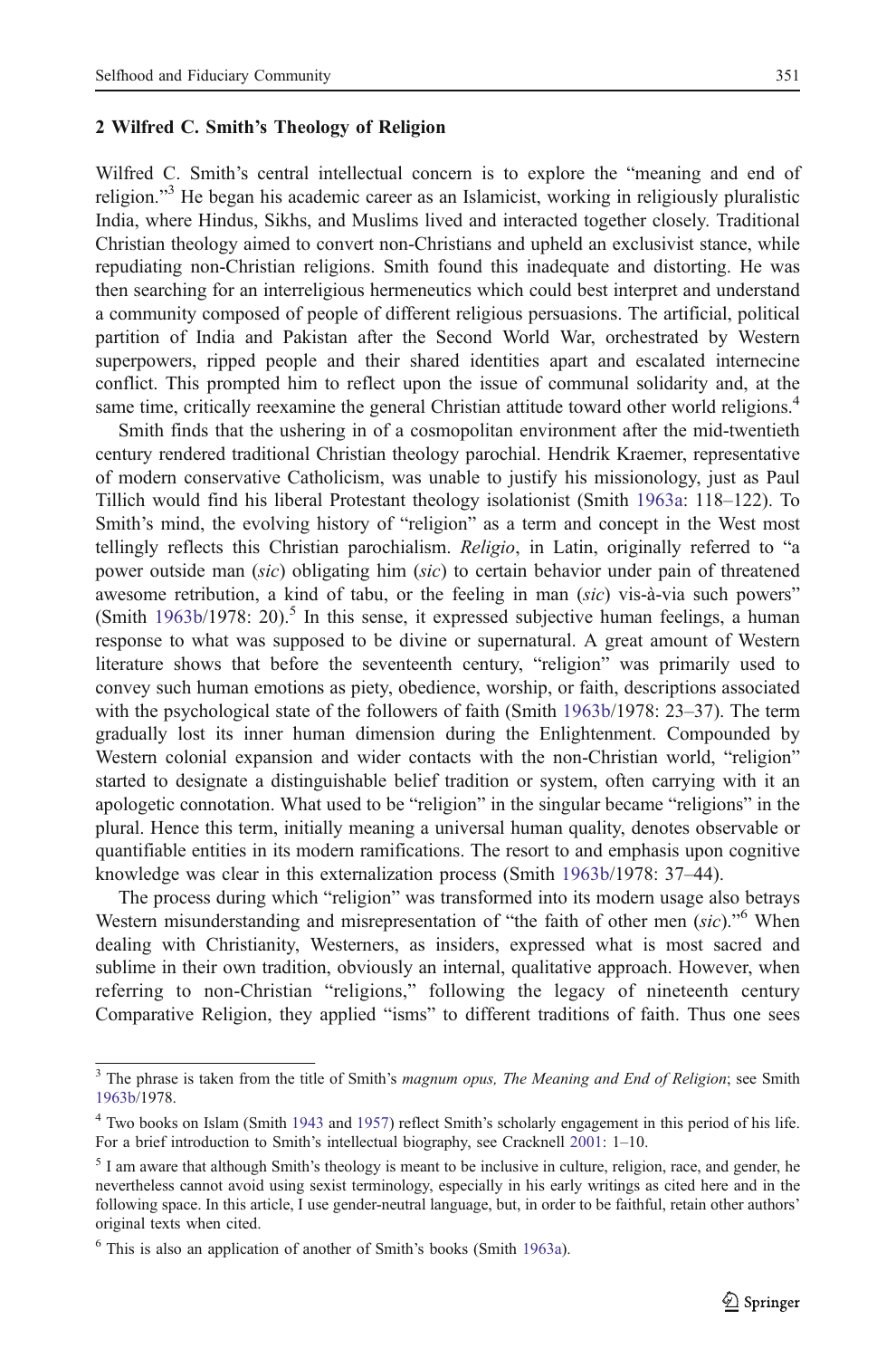### 2 Wilfred C. Smith's Theology of Religion

Wilfred C. Smith's central intellectual concern is to explore the "meaning and end of religion."<sup>3</sup> He began his academic career as an Islamicist, working in religiously pluralistic India, where Hindus, Sikhs, and Muslims lived and interacted together closely. Traditional Christian theology aimed to convert non-Christians and upheld an exclusivist stance, while repudiating non-Christian religions. Smith found this inadequate and distorting. He was then searching for an interreligious hermeneutics which could best interpret and understand a community composed of people of different religious persuasions. The artificial, political partition of India and Pakistan after the Second World War, orchestrated by Western superpowers, ripped people and their shared identities apart and escalated internecine conflict. This prompted him to reflect upon the issue of communal solidarity and, at the same time, critically reexamine the general Christian attitude toward other world religions.<sup>4</sup>

Smith finds that the ushering in of a cosmopolitan environment after the mid-twentieth century rendered traditional Christian theology parochial. Hendrik Kraemer, representative of modern conservative Catholicism, was unable to justify his missionology, just as Paul Tillich would find his liberal Protestant theology isolationist (Smith [1963a](#page-16-0): 118–122). To Smith's mind, the evolving history of "religion" as a term and concept in the West most tellingly reflects this Christian parochialism. Religio, in Latin, originally referred to "a power outside man (sic) obligating him (sic) to certain behavior under pain of threatened awesome retribution, a kind of tabu, or the feeling in man *(sic)* vis-à-via such powers" (Smith [1963b](#page-16-0)/1978: 20).<sup>5</sup> In this sense, it expressed subjective human feelings, a human response to what was supposed to be divine or supernatural. A great amount of Western literature shows that before the seventeenth century, "religion" was primarily used to convey such human emotions as piety, obedience, worship, or faith, descriptions associated with the psychological state of the followers of faith (Smith [1963b/](#page-16-0)1978: 23–37). The term gradually lost its inner human dimension during the Enlightenment. Compounded by Western colonial expansion and wider contacts with the non-Christian world, "religion" started to designate a distinguishable belief tradition or system, often carrying with it an apologetic connotation. What used to be "religion" in the singular became "religions" in the plural. Hence this term, initially meaning a universal human quality, denotes observable or quantifiable entities in its modern ramifications. The resort to and emphasis upon cognitive knowledge was clear in this externalization process (Smith [1963b](#page-16-0)/1978: 37–44).

The process during which "religion" was transformed into its modern usage also betrays Western misunderstanding and misrepresentation of "the faith of other men (sic)."<sup>6</sup> When dealing with Christianity, Westerners, as insiders, expressed what is most sacred and sublime in their own tradition, obviously an internal, qualitative approach. However, when referring to non-Christian "religions," following the legacy of nineteenth century Comparative Religion, they applied "isms" to different traditions of faith. Thus one sees

The phrase is taken from the title of Smith's magnum opus, The Meaning and End of Religion; see Smith [1963b/](#page-16-0)1978.

<sup>4</sup> Two books on Islam (Smith [1943](#page-15-0) and [1957\)](#page-15-0) reflect Smith's scholarly engagement in this period of his life. For a brief introduction to Smith's intellectual biography, see Cracknell [2001:](#page-15-0) 1–10.

<sup>&</sup>lt;sup>5</sup> I am aware that although Smith's theology is meant to be inclusive in culture, religion, race, and gender, he nevertheless cannot avoid using sexist terminology, especially in his early writings as cited here and in the following space. In this article, I use gender-neutral language, but, in order to be faithful, retain other authors' original texts when cited.

<sup>6</sup> This is also an application of another of Smith's books (Smith [1963a\)](#page-16-0).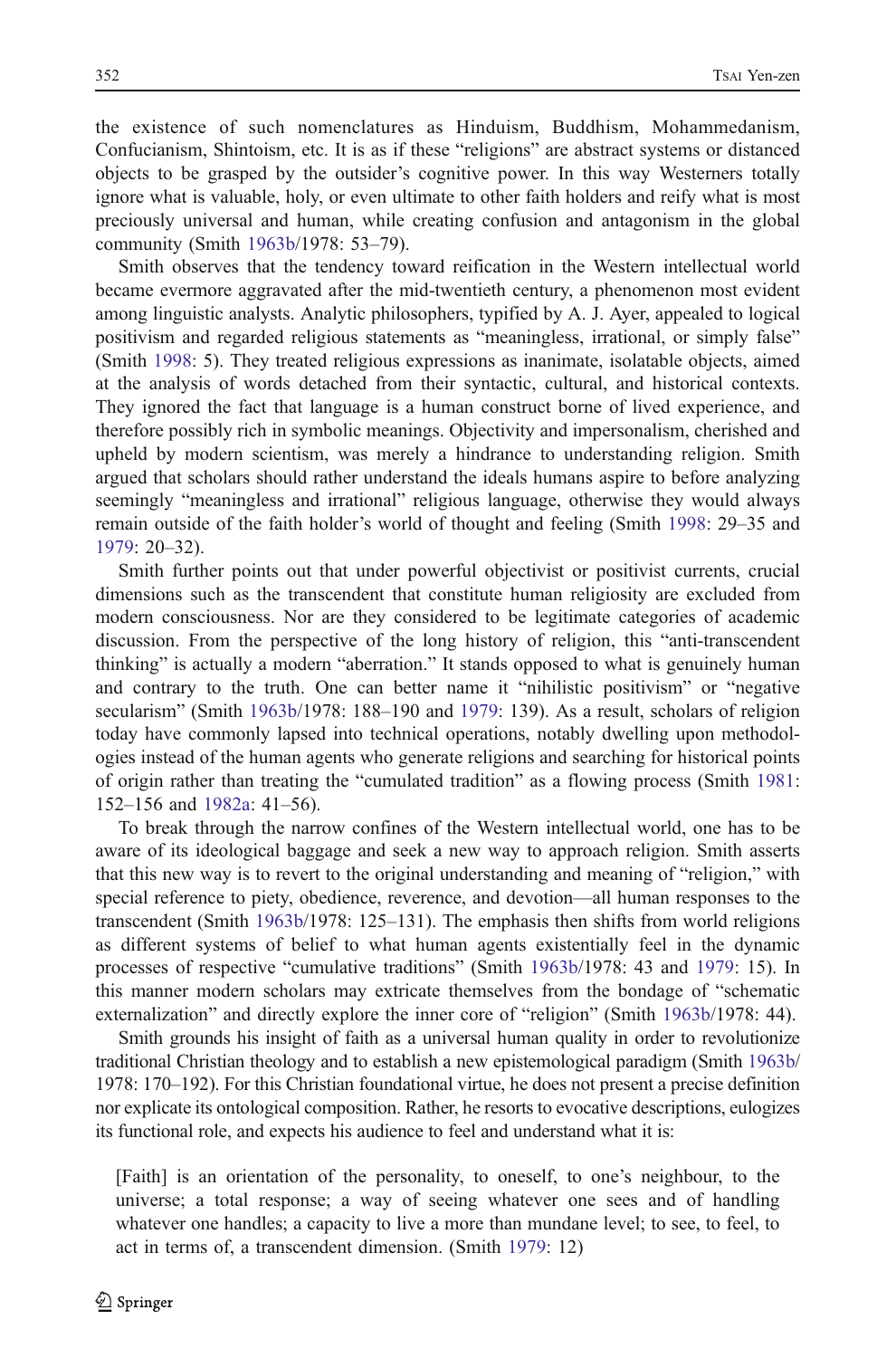the existence of such nomenclatures as Hinduism, Buddhism, Mohammedanism, Confucianism, Shintoism, etc. It is as if these "religions" are abstract systems or distanced objects to be grasped by the outsider's cognitive power. In this way Westerners totally ignore what is valuable, holy, or even ultimate to other faith holders and reify what is most preciously universal and human, while creating confusion and antagonism in the global community (Smith [1963b/](#page-16-0)1978: 53–79).

Smith observes that the tendency toward reification in the Western intellectual world became evermore aggravated after the mid-twentieth century, a phenomenon most evident among linguistic analysts. Analytic philosophers, typified by A. J. Ayer, appealed to logical positivism and regarded religious statements as "meaningless, irrational, or simply false" (Smith [1998](#page-16-0): 5). They treated religious expressions as inanimate, isolatable objects, aimed at the analysis of words detached from their syntactic, cultural, and historical contexts. They ignored the fact that language is a human construct borne of lived experience, and therefore possibly rich in symbolic meanings. Objectivity and impersonalism, cherished and upheld by modern scientism, was merely a hindrance to understanding religion. Smith argued that scholars should rather understand the ideals humans aspire to before analyzing seemingly "meaningless and irrational" religious language, otherwise they would always remain outside of the faith holder's world of thought and feeling (Smith [1998:](#page-16-0) 29–35 and [1979:](#page-16-0) 20–32).

Smith further points out that under powerful objectivist or positivist currents, crucial dimensions such as the transcendent that constitute human religiosity are excluded from modern consciousness. Nor are they considered to be legitimate categories of academic discussion. From the perspective of the long history of religion, this "anti-transcendent thinking" is actually a modern "aberration." It stands opposed to what is genuinely human and contrary to the truth. One can better name it "nihilistic positivism" or "negative secularism" (Smith [1963b/](#page-16-0)1978: 188–190 and [1979](#page-16-0): 139). As a result, scholars of religion today have commonly lapsed into technical operations, notably dwelling upon methodologies instead of the human agents who generate religions and searching for historical points of origin rather than treating the "cumulated tradition" as a flowing process (Smith [1981](#page-16-0): 152–156 and [1982a:](#page-16-0) 41–56).

To break through the narrow confines of the Western intellectual world, one has to be aware of its ideological baggage and seek a new way to approach religion. Smith asserts that this new way is to revert to the original understanding and meaning of "religion," with special reference to piety, obedience, reverence, and devotion—all human responses to the transcendent (Smith [1963b/](#page-16-0)1978: 125–131). The emphasis then shifts from world religions as different systems of belief to what human agents existentially feel in the dynamic processes of respective "cumulative traditions" (Smith [1963b/](#page-16-0)1978: 43 and [1979](#page-16-0): 15). In this manner modern scholars may extricate themselves from the bondage of "schematic externalization" and directly explore the inner core of "religion" (Smith [1963b/](#page-16-0)1978: 44).

Smith grounds his insight of faith as a universal human quality in order to revolutionize traditional Christian theology and to establish a new epistemological paradigm (Smith [1963b](#page-16-0)/ 1978: 170–192). For this Christian foundational virtue, he does not present a precise definition nor explicate its ontological composition. Rather, he resorts to evocative descriptions, eulogizes its functional role, and expects his audience to feel and understand what it is:

[Faith] is an orientation of the personality, to oneself, to one's neighbour, to the universe; a total response; a way of seeing whatever one sees and of handling whatever one handles; a capacity to live a more than mundane level; to see, to feel, to act in terms of, a transcendent dimension. (Smith [1979:](#page-16-0) 12)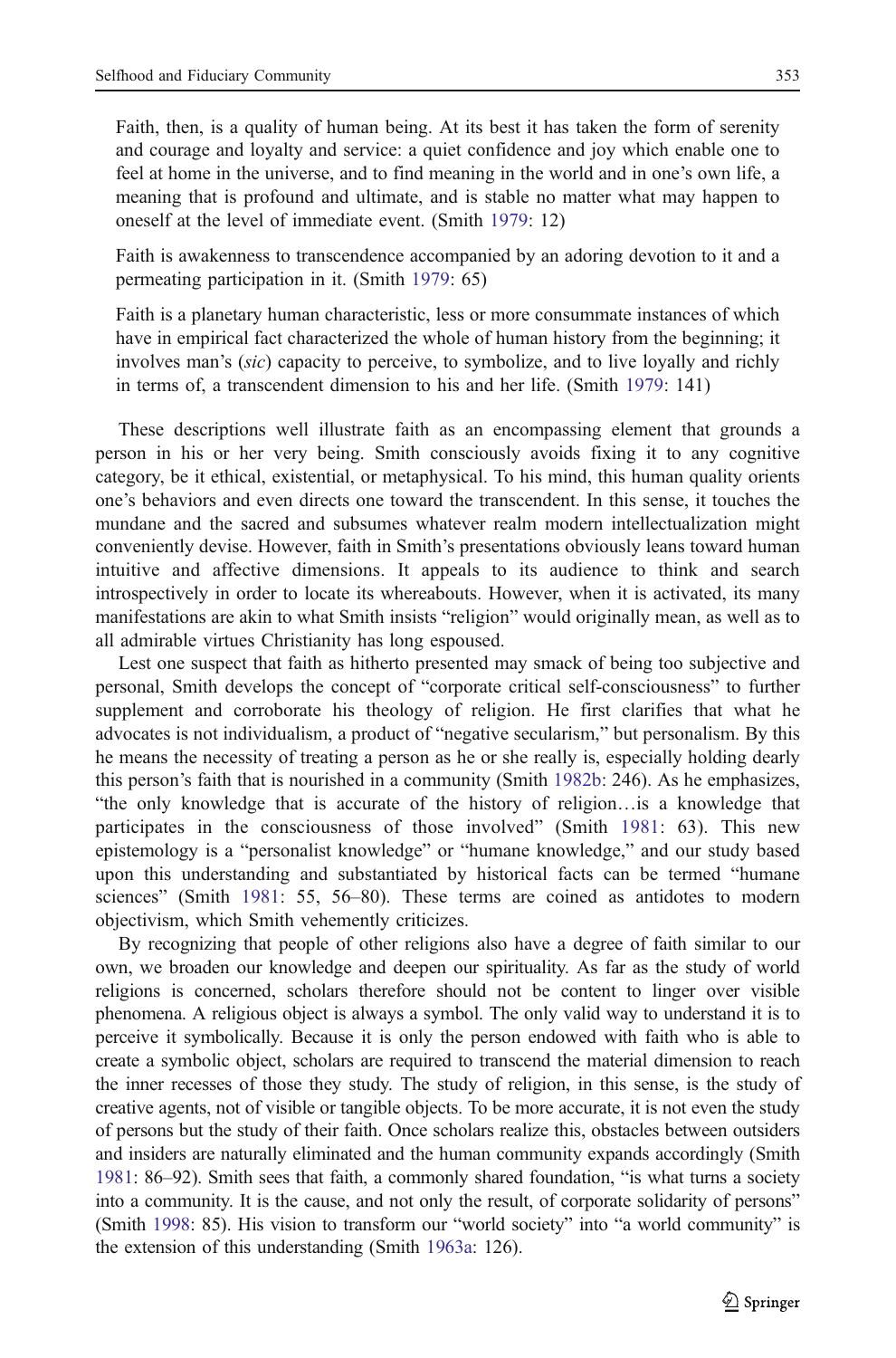Faith, then, is a quality of human being. At its best it has taken the form of serenity and courage and loyalty and service: a quiet confidence and joy which enable one to feel at home in the universe, and to find meaning in the world and in one's own life, a meaning that is profound and ultimate, and is stable no matter what may happen to oneself at the level of immediate event. (Smith [1979](#page-16-0): 12)

Faith is awakenness to transcendence accompanied by an adoring devotion to it and a permeating participation in it. (Smith [1979:](#page-16-0) 65)

Faith is a planetary human characteristic, less or more consummate instances of which have in empirical fact characterized the whole of human history from the beginning; it involves man's (sic) capacity to perceive, to symbolize, and to live loyally and richly in terms of, a transcendent dimension to his and her life. (Smith [1979:](#page-16-0) 141)

These descriptions well illustrate faith as an encompassing element that grounds a person in his or her very being. Smith consciously avoids fixing it to any cognitive category, be it ethical, existential, or metaphysical. To his mind, this human quality orients one's behaviors and even directs one toward the transcendent. In this sense, it touches the mundane and the sacred and subsumes whatever realm modern intellectualization might conveniently devise. However, faith in Smith's presentations obviously leans toward human intuitive and affective dimensions. It appeals to its audience to think and search introspectively in order to locate its whereabouts. However, when it is activated, its many manifestations are akin to what Smith insists "religion" would originally mean, as well as to all admirable virtues Christianity has long espoused.

Lest one suspect that faith as hitherto presented may smack of being too subjective and personal, Smith develops the concept of "corporate critical self-consciousness" to further supplement and corroborate his theology of religion. He first clarifies that what he advocates is not individualism, a product of "negative secularism," but personalism. By this he means the necessity of treating a person as he or she really is, especially holding dearly this person's faith that is nourished in a community (Smith [1982b](#page-16-0): 246). As he emphasizes, "the only knowledge that is accurate of the history of religion…is a knowledge that participates in the consciousness of those involved" (Smith [1981:](#page-16-0) 63). This new epistemology is a "personalist knowledge" or "humane knowledge," and our study based upon this understanding and substantiated by historical facts can be termed "humane sciences" (Smith [1981](#page-16-0): 55, 56–80). These terms are coined as antidotes to modern objectivism, which Smith vehemently criticizes.

By recognizing that people of other religions also have a degree of faith similar to our own, we broaden our knowledge and deepen our spirituality. As far as the study of world religions is concerned, scholars therefore should not be content to linger over visible phenomena. A religious object is always a symbol. The only valid way to understand it is to perceive it symbolically. Because it is only the person endowed with faith who is able to create a symbolic object, scholars are required to transcend the material dimension to reach the inner recesses of those they study. The study of religion, in this sense, is the study of creative agents, not of visible or tangible objects. To be more accurate, it is not even the study of persons but the study of their faith. Once scholars realize this, obstacles between outsiders and insiders are naturally eliminated and the human community expands accordingly (Smith [1981](#page-16-0): 86–92). Smith sees that faith, a commonly shared foundation, "is what turns a society into a community. It is the cause, and not only the result, of corporate solidarity of persons" (Smith [1998](#page-16-0): 85). His vision to transform our "world society" into "a world community" is the extension of this understanding (Smith [1963a:](#page-16-0) 126).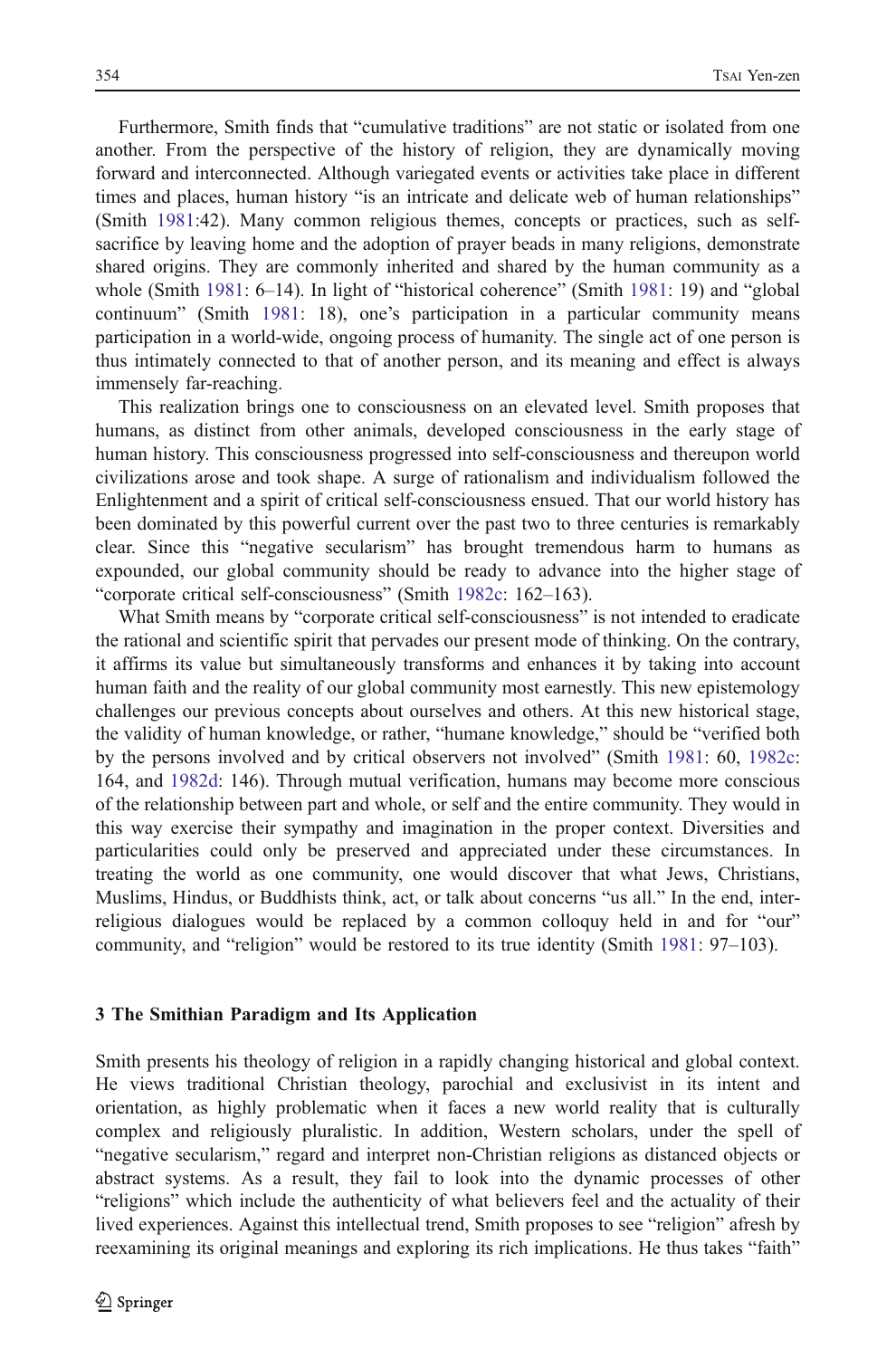Furthermore, Smith finds that "cumulative traditions" are not static or isolated from one another. From the perspective of the history of religion, they are dynamically moving forward and interconnected. Although variegated events or activities take place in different times and places, human history "is an intricate and delicate web of human relationships" (Smith [1981:](#page-16-0)42). Many common religious themes, concepts or practices, such as selfsacrifice by leaving home and the adoption of prayer beads in many religions, demonstrate shared origins. They are commonly inherited and shared by the human community as a whole (Smith [1981:](#page-16-0) 6–14). In light of "historical coherence" (Smith [1981:](#page-16-0) 19) and "global continuum" (Smith [1981](#page-16-0): 18), one's participation in a particular community means participation in a world-wide, ongoing process of humanity. The single act of one person is thus intimately connected to that of another person, and its meaning and effect is always immensely far-reaching.

This realization brings one to consciousness on an elevated level. Smith proposes that humans, as distinct from other animals, developed consciousness in the early stage of human history. This consciousness progressed into self-consciousness and thereupon world civilizations arose and took shape. A surge of rationalism and individualism followed the Enlightenment and a spirit of critical self-consciousness ensued. That our world history has been dominated by this powerful current over the past two to three centuries is remarkably clear. Since this "negative secularism" has brought tremendous harm to humans as expounded, our global community should be ready to advance into the higher stage of "corporate critical self-consciousness" (Smith [1982c:](#page-16-0) 162–163).

What Smith means by "corporate critical self-consciousness" is not intended to eradicate the rational and scientific spirit that pervades our present mode of thinking. On the contrary, it affirms its value but simultaneously transforms and enhances it by taking into account human faith and the reality of our global community most earnestly. This new epistemology challenges our previous concepts about ourselves and others. At this new historical stage, the validity of human knowledge, or rather, "humane knowledge," should be "verified both by the persons involved and by critical observers not involved" (Smith [1981:](#page-16-0) 60, [1982c](#page-16-0): 164, and [1982d:](#page-16-0) 146). Through mutual verification, humans may become more conscious of the relationship between part and whole, or self and the entire community. They would in this way exercise their sympathy and imagination in the proper context. Diversities and particularities could only be preserved and appreciated under these circumstances. In treating the world as one community, one would discover that what Jews, Christians, Muslims, Hindus, or Buddhists think, act, or talk about concerns "us all." In the end, interreligious dialogues would be replaced by a common colloquy held in and for "our" community, and "religion" would be restored to its true identity (Smith [1981:](#page-16-0) 97–103).

#### 3 The Smithian Paradigm and Its Application

Smith presents his theology of religion in a rapidly changing historical and global context. He views traditional Christian theology, parochial and exclusivist in its intent and orientation, as highly problematic when it faces a new world reality that is culturally complex and religiously pluralistic. In addition, Western scholars, under the spell of "negative secularism," regard and interpret non-Christian religions as distanced objects or abstract systems. As a result, they fail to look into the dynamic processes of other "religions" which include the authenticity of what believers feel and the actuality of their lived experiences. Against this intellectual trend, Smith proposes to see "religion" afresh by reexamining its original meanings and exploring its rich implications. He thus takes "faith"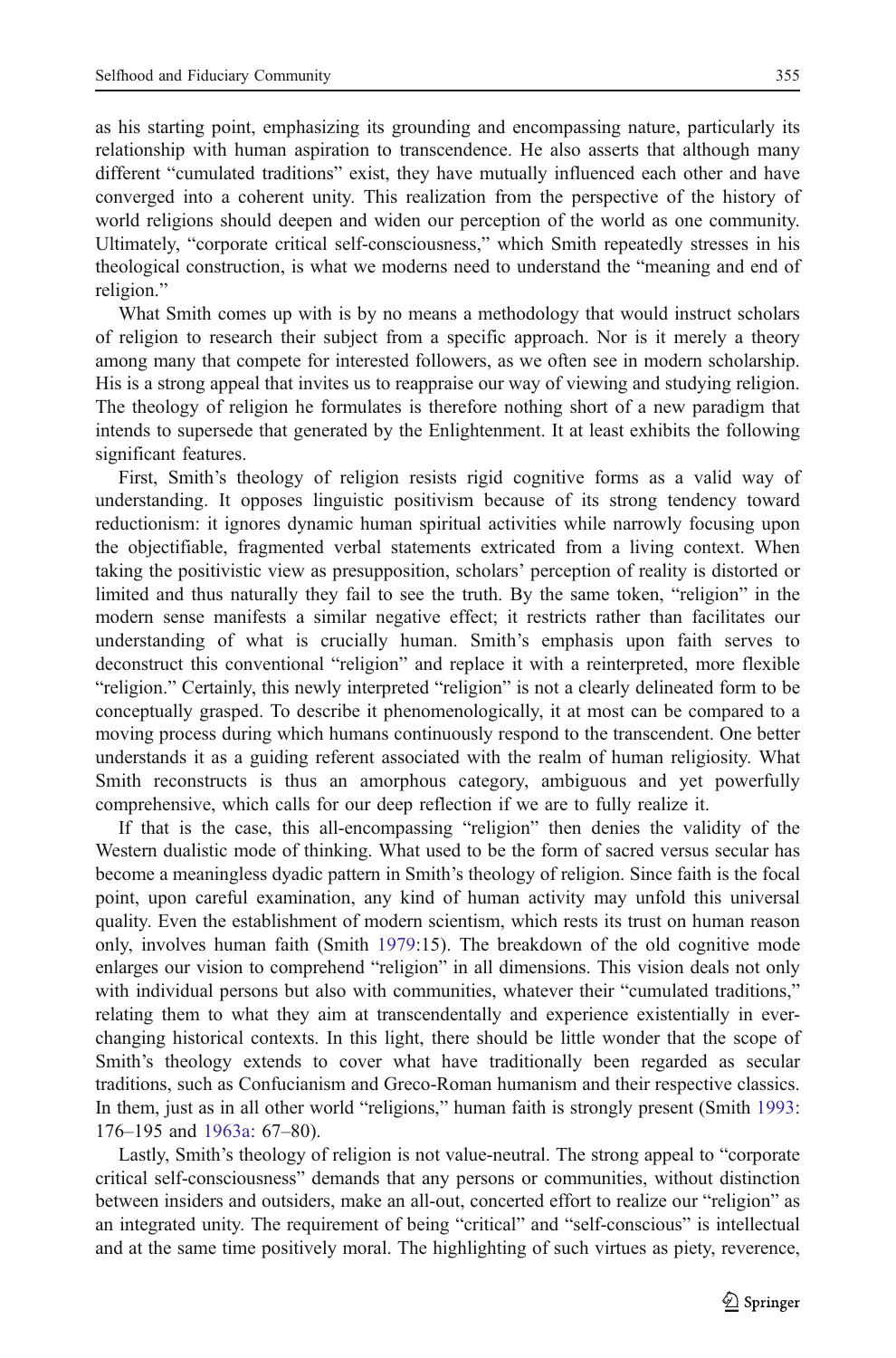as his starting point, emphasizing its grounding and encompassing nature, particularly its relationship with human aspiration to transcendence. He also asserts that although many different "cumulated traditions" exist, they have mutually influenced each other and have converged into a coherent unity. This realization from the perspective of the history of world religions should deepen and widen our perception of the world as one community. Ultimately, "corporate critical self-consciousness," which Smith repeatedly stresses in his theological construction, is what we moderns need to understand the "meaning and end of religion."

What Smith comes up with is by no means a methodology that would instruct scholars of religion to research their subject from a specific approach. Nor is it merely a theory among many that compete for interested followers, as we often see in modern scholarship. His is a strong appeal that invites us to reappraise our way of viewing and studying religion. The theology of religion he formulates is therefore nothing short of a new paradigm that intends to supersede that generated by the Enlightenment. It at least exhibits the following significant features.

First, Smith's theology of religion resists rigid cognitive forms as a valid way of understanding. It opposes linguistic positivism because of its strong tendency toward reductionism: it ignores dynamic human spiritual activities while narrowly focusing upon the objectifiable, fragmented verbal statements extricated from a living context. When taking the positivistic view as presupposition, scholars' perception of reality is distorted or limited and thus naturally they fail to see the truth. By the same token, "religion" in the modern sense manifests a similar negative effect; it restricts rather than facilitates our understanding of what is crucially human. Smith's emphasis upon faith serves to deconstruct this conventional "religion" and replace it with a reinterpreted, more flexible "religion." Certainly, this newly interpreted "religion" is not a clearly delineated form to be conceptually grasped. To describe it phenomenologically, it at most can be compared to a moving process during which humans continuously respond to the transcendent. One better understands it as a guiding referent associated with the realm of human religiosity. What Smith reconstructs is thus an amorphous category, ambiguous and yet powerfully comprehensive, which calls for our deep reflection if we are to fully realize it.

If that is the case, this all-encompassing "religion" then denies the validity of the Western dualistic mode of thinking. What used to be the form of sacred versus secular has become a meaningless dyadic pattern in Smith's theology of religion. Since faith is the focal point, upon careful examination, any kind of human activity may unfold this universal quality. Even the establishment of modern scientism, which rests its trust on human reason only, involves human faith (Smith [1979:](#page-16-0)15). The breakdown of the old cognitive mode enlarges our vision to comprehend "religion" in all dimensions. This vision deals not only with individual persons but also with communities, whatever their "cumulated traditions," relating them to what they aim at transcendentally and experience existentially in everchanging historical contexts. In this light, there should be little wonder that the scope of Smith's theology extends to cover what have traditionally been regarded as secular traditions, such as Confucianism and Greco-Roman humanism and their respective classics. In them, just as in all other world "religions," human faith is strongly present (Smith [1993](#page-16-0): 176–195 and [1963a:](#page-16-0) 67–80).

Lastly, Smith's theology of religion is not value-neutral. The strong appeal to "corporate critical self-consciousness" demands that any persons or communities, without distinction between insiders and outsiders, make an all-out, concerted effort to realize our "religion" as an integrated unity. The requirement of being "critical" and "self-conscious" is intellectual and at the same time positively moral. The highlighting of such virtues as piety, reverence,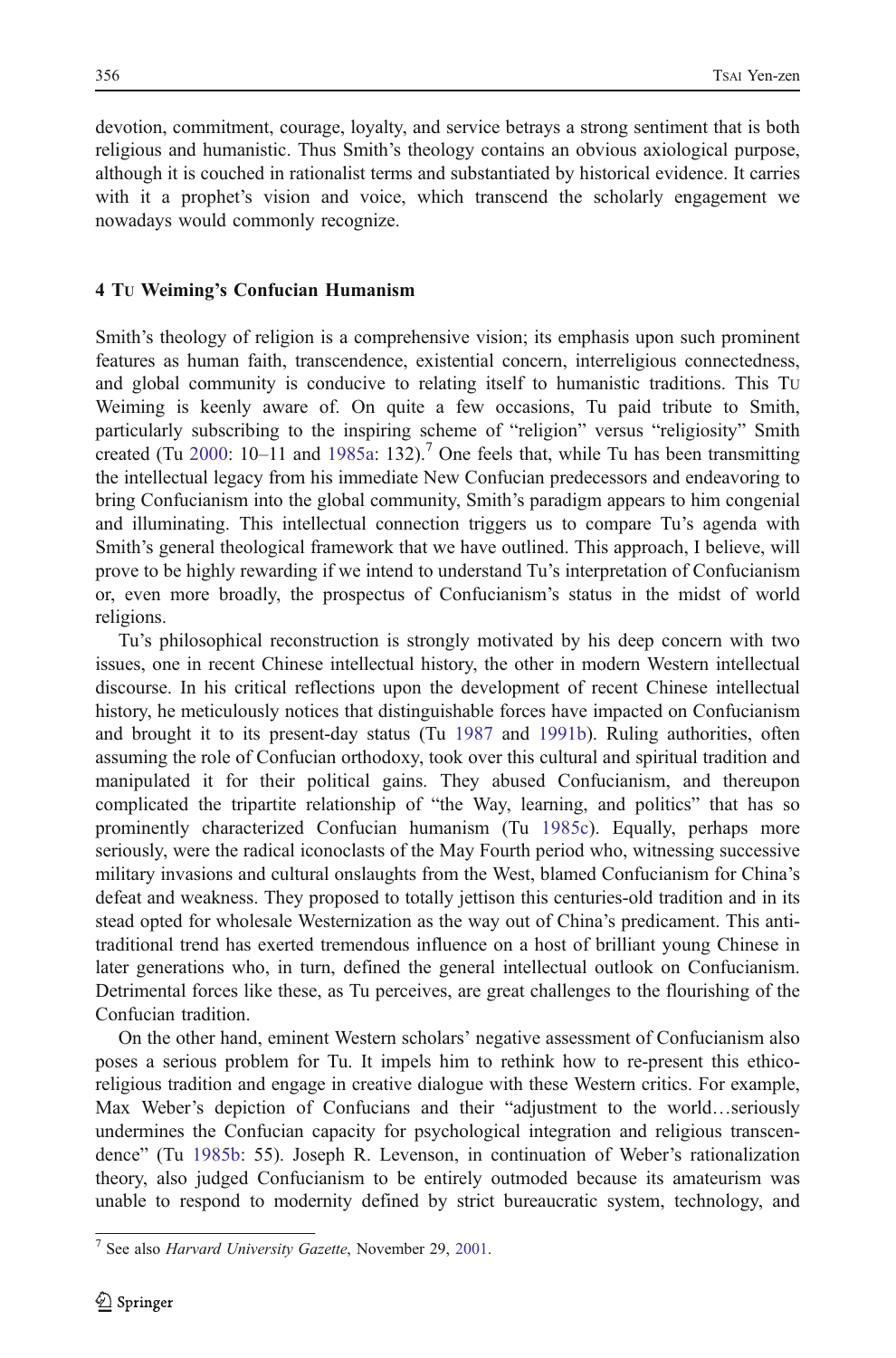devotion, commitment, courage, loyalty, and service betrays a strong sentiment that is both religious and humanistic. Thus Smith's theology contains an obvious axiological purpose, although it is couched in rationalist terms and substantiated by historical evidence. It carries with it a prophet's vision and voice, which transcend the scholarly engagement we nowadays would commonly recognize.

### 4 TU Weiming's Confucian Humanism

Smith's theology of religion is a comprehensive vision; its emphasis upon such prominent features as human faith, transcendence, existential concern, interreligious connectedness, and global community is conducive to relating itself to humanistic traditions. This TU Weiming is keenly aware of. On quite a few occasions, Tu paid tribute to Smith, particularly subscribing to the inspiring scheme of "religion" versus "religiosity" Smith created (Tu [2000:](#page-16-0) 10–11 and [1985a:](#page-16-0) 132).<sup>7</sup> One feels that, while Tu has been transmitting the intellectual legacy from his immediate New Confucian predecessors and endeavoring to bring Confucianism into the global community, Smith's paradigm appears to him congenial and illuminating. This intellectual connection triggers us to compare Tu's agenda with Smith's general theological framework that we have outlined. This approach, I believe, will prove to be highly rewarding if we intend to understand Tu's interpretation of Confucianism or, even more broadly, the prospectus of Confucianism's status in the midst of world religions.

Tu's philosophical reconstruction is strongly motivated by his deep concern with two issues, one in recent Chinese intellectual history, the other in modern Western intellectual discourse. In his critical reflections upon the development of recent Chinese intellectual history, he meticulously notices that distinguishable forces have impacted on Confucianism and brought it to its present-day status (Tu [1987](#page-16-0) and [1991b\)](#page-16-0). Ruling authorities, often assuming the role of Confucian orthodoxy, took over this cultural and spiritual tradition and manipulated it for their political gains. They abused Confucianism, and thereupon complicated the tripartite relationship of "the Way, learning, and politics" that has so prominently characterized Confucian humanism (Tu [1985c\)](#page-16-0). Equally, perhaps more seriously, were the radical iconoclasts of the May Fourth period who, witnessing successive military invasions and cultural onslaughts from the West, blamed Confucianism for China's defeat and weakness. They proposed to totally jettison this centuries-old tradition and in its stead opted for wholesale Westernization as the way out of China's predicament. This antitraditional trend has exerted tremendous influence on a host of brilliant young Chinese in later generations who, in turn, defined the general intellectual outlook on Confucianism. Detrimental forces like these, as Tu perceives, are great challenges to the flourishing of the Confucian tradition.

On the other hand, eminent Western scholars' negative assessment of Confucianism also poses a serious problem for Tu. It impels him to rethink how to re-present this ethicoreligious tradition and engage in creative dialogue with these Western critics. For example, Max Weber's depiction of Confucians and their "adjustment to the world…seriously undermines the Confucian capacity for psychological integration and religious transcendence" (Tu [1985b:](#page-16-0) 55). Joseph R. Levenson, in continuation of Weber's rationalization theory, also judged Confucianism to be entirely outmoded because its amateurism was unable to respond to modernity defined by strict bureaucratic system, technology, and

<sup>7</sup> See also Harvard University Gazette, November 29, [2001](#page-15-0).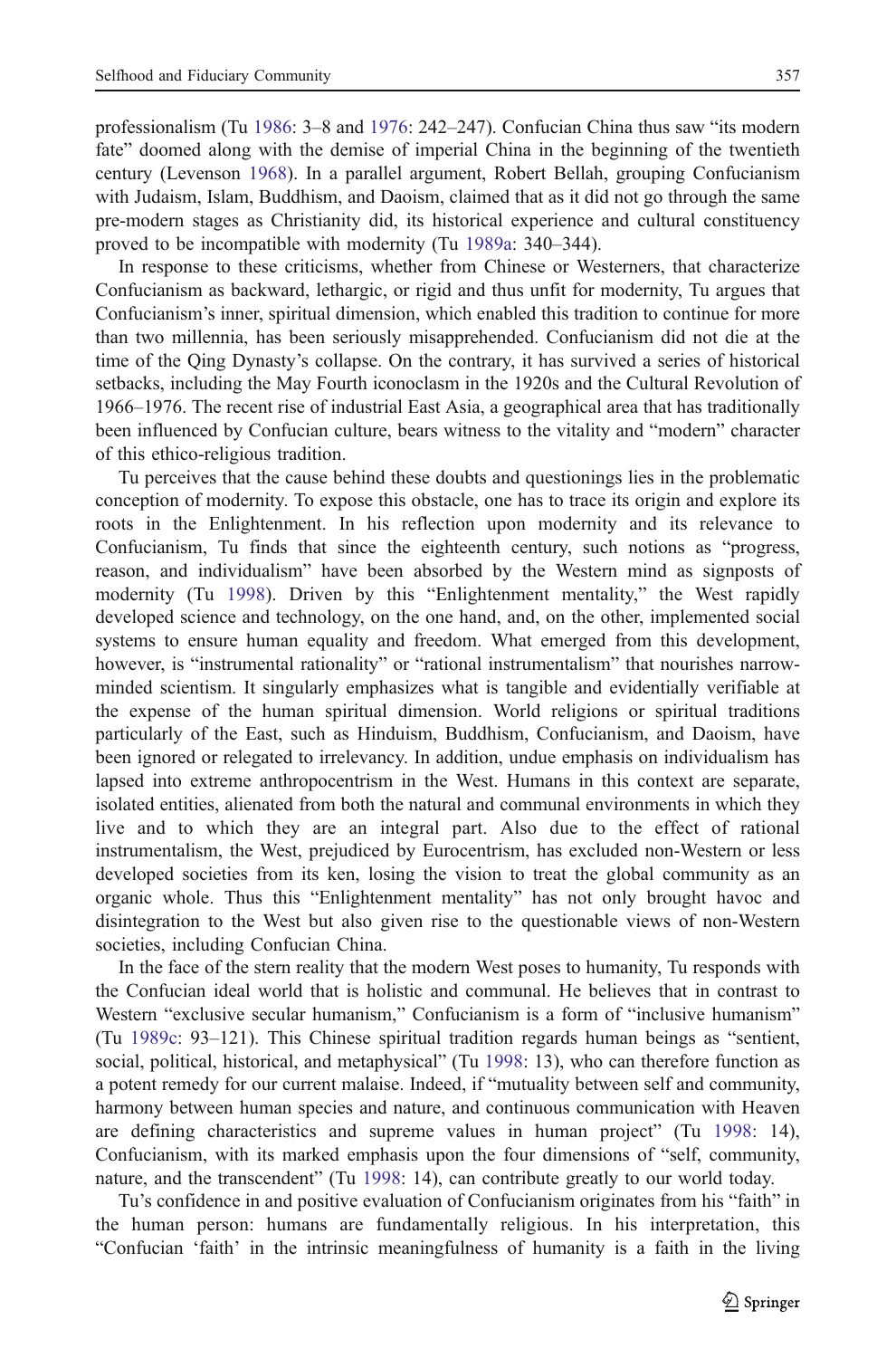professionalism (Tu [1986](#page-16-0): 3–8 and [1976](#page-16-0): 242–247). Confucian China thus saw "its modern fate" doomed along with the demise of imperial China in the beginning of the twentieth century (Levenson [1968\)](#page-15-0). In a parallel argument, Robert Bellah, grouping Confucianism with Judaism, Islam, Buddhism, and Daoism, claimed that as it did not go through the same pre-modern stages as Christianity did, its historical experience and cultural constituency proved to be incompatible with modernity (Tu [1989a](#page-16-0): 340–344).

In response to these criticisms, whether from Chinese or Westerners, that characterize Confucianism as backward, lethargic, or rigid and thus unfit for modernity, Tu argues that Confucianism's inner, spiritual dimension, which enabled this tradition to continue for more than two millennia, has been seriously misapprehended. Confucianism did not die at the time of the Qing Dynasty's collapse. On the contrary, it has survived a series of historical setbacks, including the May Fourth iconoclasm in the 1920s and the Cultural Revolution of 1966–1976. The recent rise of industrial East Asia, a geographical area that has traditionally been influenced by Confucian culture, bears witness to the vitality and "modern" character of this ethico-religious tradition.

Tu perceives that the cause behind these doubts and questionings lies in the problematic conception of modernity. To expose this obstacle, one has to trace its origin and explore its roots in the Enlightenment. In his reflection upon modernity and its relevance to Confucianism, Tu finds that since the eighteenth century, such notions as "progress, reason, and individualism" have been absorbed by the Western mind as signposts of modernity (Tu [1998](#page-16-0)). Driven by this "Enlightenment mentality," the West rapidly developed science and technology, on the one hand, and, on the other, implemented social systems to ensure human equality and freedom. What emerged from this development, however, is "instrumental rationality" or "rational instrumentalism" that nourishes narrowminded scientism. It singularly emphasizes what is tangible and evidentially verifiable at the expense of the human spiritual dimension. World religions or spiritual traditions particularly of the East, such as Hinduism, Buddhism, Confucianism, and Daoism, have been ignored or relegated to irrelevancy. In addition, undue emphasis on individualism has lapsed into extreme anthropocentrism in the West. Humans in this context are separate, isolated entities, alienated from both the natural and communal environments in which they live and to which they are an integral part. Also due to the effect of rational instrumentalism, the West, prejudiced by Eurocentrism, has excluded non-Western or less developed societies from its ken, losing the vision to treat the global community as an organic whole. Thus this "Enlightenment mentality" has not only brought havoc and disintegration to the West but also given rise to the questionable views of non-Western societies, including Confucian China.

In the face of the stern reality that the modern West poses to humanity, Tu responds with the Confucian ideal world that is holistic and communal. He believes that in contrast to Western "exclusive secular humanism," Confucianism is a form of "inclusive humanism" (Tu [1989c:](#page-16-0) 93–121). This Chinese spiritual tradition regards human beings as "sentient, social, political, historical, and metaphysical" (Tu [1998:](#page-16-0) 13), who can therefore function as a potent remedy for our current malaise. Indeed, if "mutuality between self and community, harmony between human species and nature, and continuous communication with Heaven are defining characteristics and supreme values in human project" (Tu [1998](#page-16-0): 14), Confucianism, with its marked emphasis upon the four dimensions of "self, community, nature, and the transcendent" (Tu [1998:](#page-16-0) 14), can contribute greatly to our world today.

Tu's confidence in and positive evaluation of Confucianism originates from his "faith" in the human person: humans are fundamentally religious. In his interpretation, this "Confucian 'faith' in the intrinsic meaningfulness of humanity is a faith in the living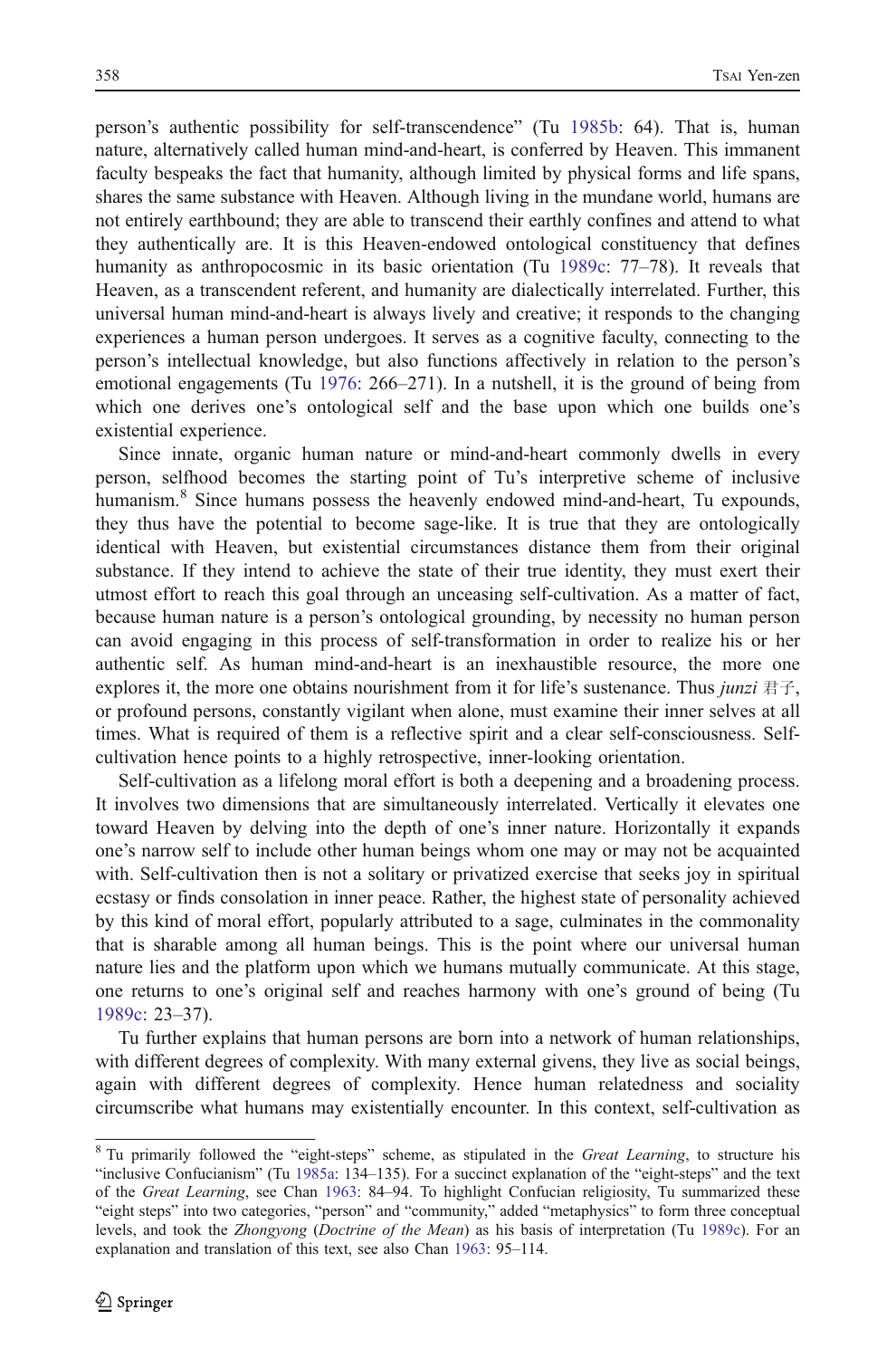person's authentic possibility for self-transcendence" (Tu [1985b](#page-16-0): 64). That is, human nature, alternatively called human mind-and-heart, is conferred by Heaven. This immanent faculty bespeaks the fact that humanity, although limited by physical forms and life spans, shares the same substance with Heaven. Although living in the mundane world, humans are not entirely earthbound; they are able to transcend their earthly confines and attend to what they authentically are. It is this Heaven-endowed ontological constituency that defines humanity as anthropocosmic in its basic orientation (Tu [1989c](#page-16-0): 77–78). It reveals that Heaven, as a transcendent referent, and humanity are dialectically interrelated. Further, this universal human mind-and-heart is always lively and creative; it responds to the changing experiences a human person undergoes. It serves as a cognitive faculty, connecting to the person's intellectual knowledge, but also functions affectively in relation to the person's emotional engagements (Tu [1976](#page-16-0): 266–271). In a nutshell, it is the ground of being from which one derives one's ontological self and the base upon which one builds one's existential experience.

Since innate, organic human nature or mind-and-heart commonly dwells in every person, selfhood becomes the starting point of Tu's interpretive scheme of inclusive humanism.<sup>8</sup> Since humans possess the heavenly endowed mind-and-heart, Tu expounds, they thus have the potential to become sage-like. It is true that they are ontologically identical with Heaven, but existential circumstances distance them from their original substance. If they intend to achieve the state of their true identity, they must exert their utmost effort to reach this goal through an unceasing self-cultivation. As a matter of fact, because human nature is a person's ontological grounding, by necessity no human person can avoid engaging in this process of self-transformation in order to realize his or her authentic self. As human mind-and-heart is an inexhaustible resource, the more one explores it, the more one obtains nourishment from it for life's sustenance. Thus *junzi* 君子, or profound persons, constantly vigilant when alone, must examine their inner selves at all times. What is required of them is a reflective spirit and a clear self-consciousness. Selfcultivation hence points to a highly retrospective, inner-looking orientation.

Self-cultivation as a lifelong moral effort is both a deepening and a broadening process. It involves two dimensions that are simultaneously interrelated. Vertically it elevates one toward Heaven by delving into the depth of one's inner nature. Horizontally it expands one's narrow self to include other human beings whom one may or may not be acquainted with. Self-cultivation then is not a solitary or privatized exercise that seeks joy in spiritual ecstasy or finds consolation in inner peace. Rather, the highest state of personality achieved by this kind of moral effort, popularly attributed to a sage, culminates in the commonality that is sharable among all human beings. This is the point where our universal human nature lies and the platform upon which we humans mutually communicate. At this stage, one returns to one's original self and reaches harmony with one's ground of being (Tu [1989c:](#page-16-0) 23–37).

Tu further explains that human persons are born into a network of human relationships, with different degrees of complexity. With many external givens, they live as social beings, again with different degrees of complexity. Hence human relatedness and sociality circumscribe what humans may existentially encounter. In this context, self-cultivation as

 $8$  Tu primarily followed the "eight-steps" scheme, as stipulated in the *Great Learning*, to structure his "inclusive Confucianism" (Tu [1985a](#page-16-0): 134–135). For a succinct explanation of the "eight-steps" and the text of the Great Learning, see Chan [1963](#page-15-0): 84–94. To highlight Confucian religiosity, Tu summarized these "eight steps" into two categories, "person" and "community," added "metaphysics" to form three conceptual levels, and took the Zhongyong (Doctrine of the Mean) as his basis of interpretation (Tu [1989c](#page-16-0)). For an explanation and translation of this text, see also Chan [1963:](#page-15-0) 95–114.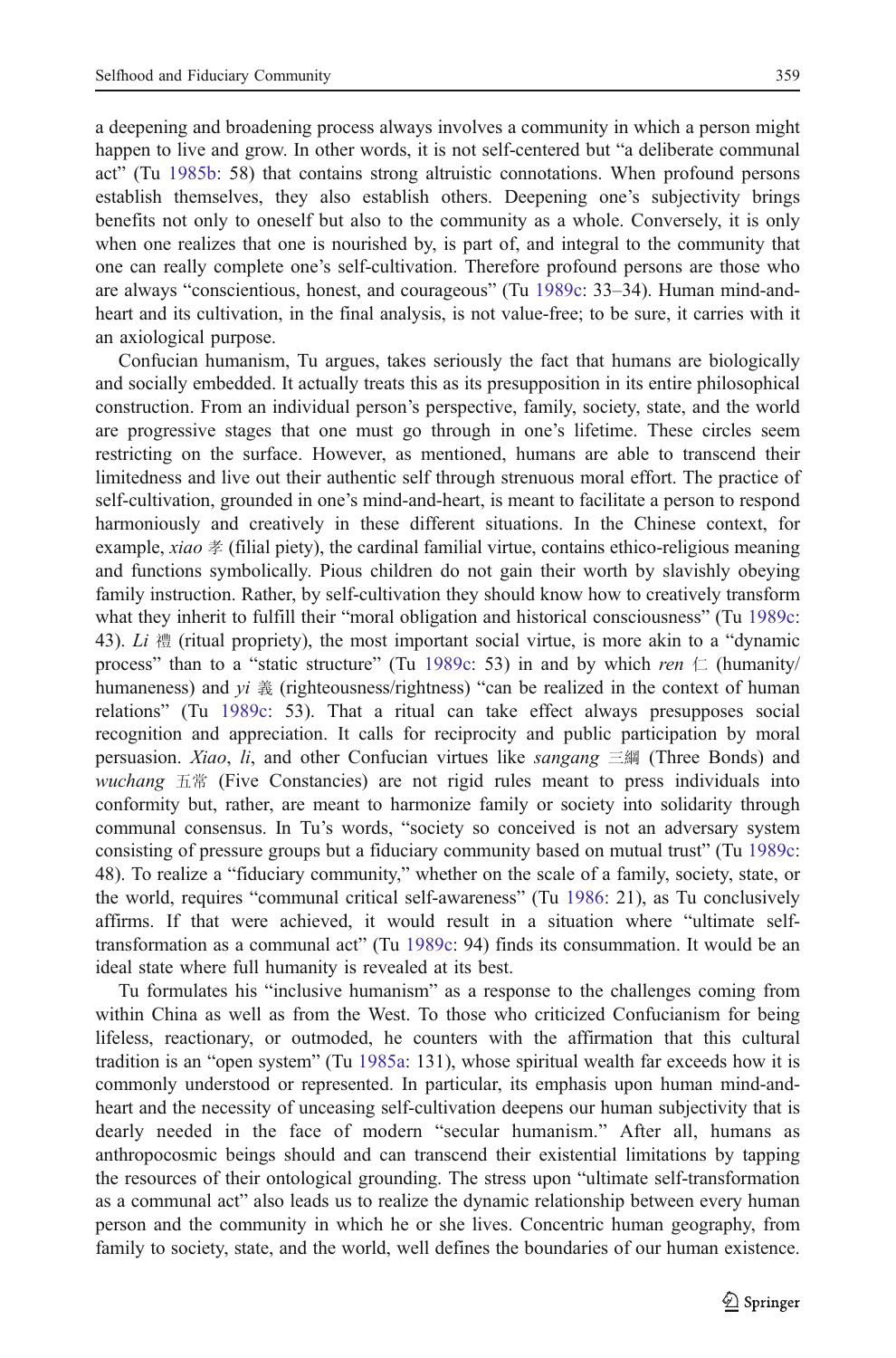a deepening and broadening process always involves a community in which a person might happen to live and grow. In other words, it is not self-centered but "a deliberate communal act" (Tu [1985b](#page-16-0): 58) that contains strong altruistic connotations. When profound persons establish themselves, they also establish others. Deepening one's subjectivity brings benefits not only to oneself but also to the community as a whole. Conversely, it is only when one realizes that one is nourished by, is part of, and integral to the community that one can really complete one's self-cultivation. Therefore profound persons are those who are always "conscientious, honest, and courageous" (Tu [1989c:](#page-16-0) 33–34). Human mind-andheart and its cultivation, in the final analysis, is not value-free; to be sure, it carries with it an axiological purpose.

Confucian humanism, Tu argues, takes seriously the fact that humans are biologically and socially embedded. It actually treats this as its presupposition in its entire philosophical construction. From an individual person's perspective, family, society, state, and the world are progressive stages that one must go through in one's lifetime. These circles seem restricting on the surface. However, as mentioned, humans are able to transcend their limitedness and live out their authentic self through strenuous moral effort. The practice of self-cultivation, grounded in one's mind-and-heart, is meant to facilitate a person to respond harmoniously and creatively in these different situations. In the Chinese context, for example, xiao  $\frac{1}{2}$  (filial piety), the cardinal familial virtue, contains ethico-religious meaning and functions symbolically. Pious children do not gain their worth by slavishly obeying family instruction. Rather, by self-cultivation they should know how to creatively transform what they inherit to fulfill their "moral obligation and historical consciousness" (Tu [1989c](#page-16-0): 43). Li  $\ddot{a}$  (ritual propriety), the most important social virtue, is more akin to a "dynamic process" than to a "static structure" (Tu [1989c](#page-16-0): 53) in and by which ren  $\subset$  (humanity/ humaneness) and  $yi \&$  (righteousness/rightness) "can be realized in the context of human relations" (Tu [1989c](#page-16-0): 53). That a ritual can take effect always presupposes social recognition and appreciation. It calls for reciprocity and public participation by moral persuasion. Xiao, li, and other Confucian virtues like sangang  $\equiv$   $\mathbb{S}$  (Three Bonds) and wuchang 五常 (Five Constancies) are not rigid rules meant to press individuals into conformity but, rather, are meant to harmonize family or society into solidarity through communal consensus. In Tu's words, "society so conceived is not an adversary system consisting of pressure groups but a fiduciary community based on mutual trust" (Tu [1989c](#page-16-0): 48). To realize a "fiduciary community," whether on the scale of a family, society, state, or the world, requires "communal critical self-awareness" (Tu [1986](#page-16-0): 21), as Tu conclusively affirms. If that were achieved, it would result in a situation where "ultimate selftransformation as a communal act" (Tu [1989c](#page-16-0): 94) finds its consummation. It would be an ideal state where full humanity is revealed at its best.

Tu formulates his "inclusive humanism" as a response to the challenges coming from within China as well as from the West. To those who criticized Confucianism for being lifeless, reactionary, or outmoded, he counters with the affirmation that this cultural tradition is an "open system" (Tu [1985a:](#page-16-0) 131), whose spiritual wealth far exceeds how it is commonly understood or represented. In particular, its emphasis upon human mind-andheart and the necessity of unceasing self-cultivation deepens our human subjectivity that is dearly needed in the face of modern "secular humanism." After all, humans as anthropocosmic beings should and can transcend their existential limitations by tapping the resources of their ontological grounding. The stress upon "ultimate self-transformation as a communal act" also leads us to realize the dynamic relationship between every human person and the community in which he or she lives. Concentric human geography, from family to society, state, and the world, well defines the boundaries of our human existence.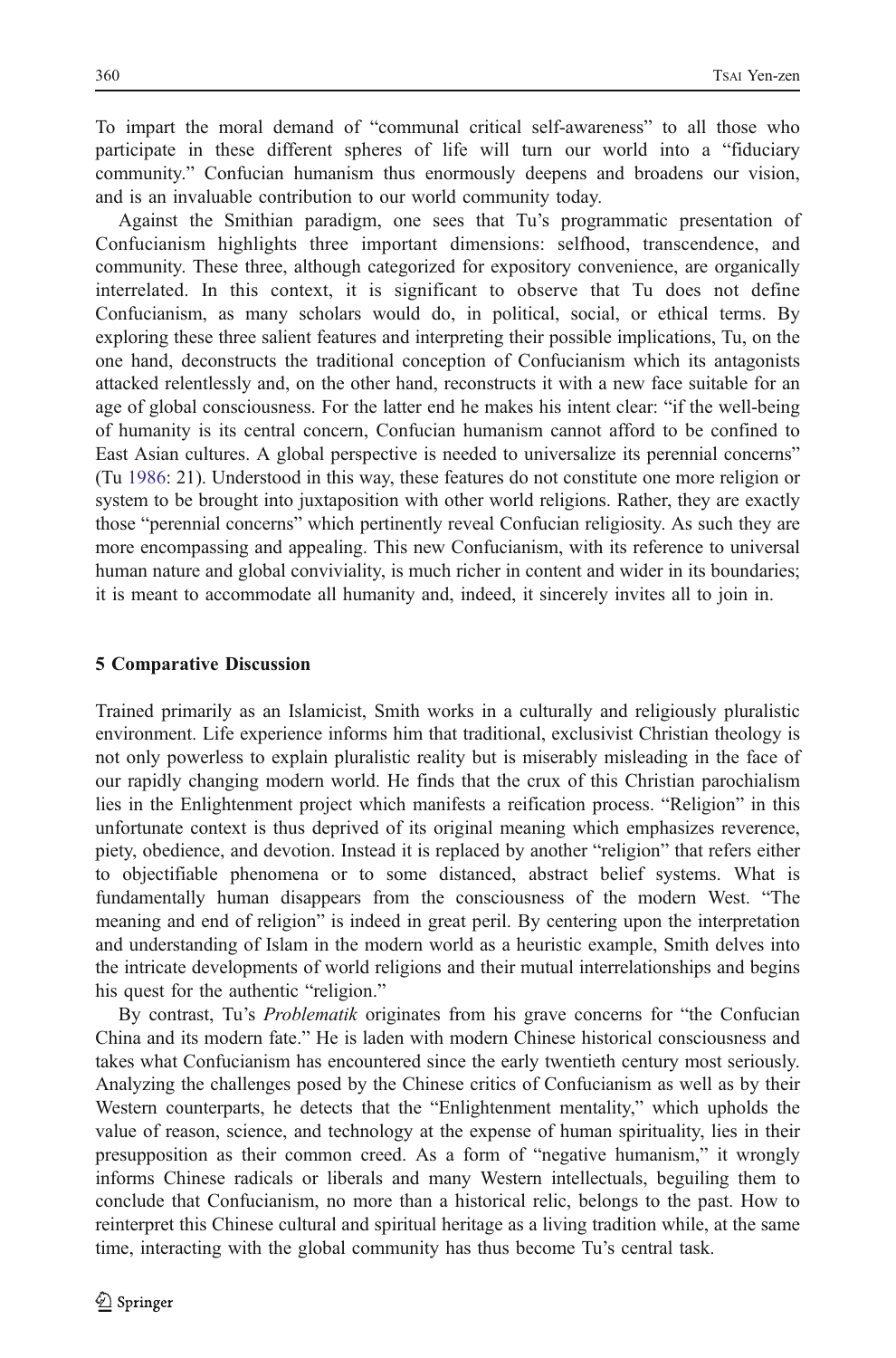To impart the moral demand of "communal critical self-awareness" to all those who participate in these different spheres of life will turn our world into a "fiduciary community." Confucian humanism thus enormously deepens and broadens our vision, and is an invaluable contribution to our world community today.

Against the Smithian paradigm, one sees that Tu's programmatic presentation of Confucianism highlights three important dimensions: selfhood, transcendence, and community. These three, although categorized for expository convenience, are organically interrelated. In this context, it is significant to observe that Tu does not define Confucianism, as many scholars would do, in political, social, or ethical terms. By exploring these three salient features and interpreting their possible implications, Tu, on the one hand, deconstructs the traditional conception of Confucianism which its antagonists attacked relentlessly and, on the other hand, reconstructs it with a new face suitable for an age of global consciousness. For the latter end he makes his intent clear: "if the well-being of humanity is its central concern, Confucian humanism cannot afford to be confined to East Asian cultures. A global perspective is needed to universalize its perennial concerns" (Tu [1986](#page-16-0): 21). Understood in this way, these features do not constitute one more religion or system to be brought into juxtaposition with other world religions. Rather, they are exactly those "perennial concerns" which pertinently reveal Confucian religiosity. As such they are more encompassing and appealing. This new Confucianism, with its reference to universal human nature and global conviviality, is much richer in content and wider in its boundaries; it is meant to accommodate all humanity and, indeed, it sincerely invites all to join in.

#### 5 Comparative Discussion

Trained primarily as an Islamicist, Smith works in a culturally and religiously pluralistic environment. Life experience informs him that traditional, exclusivist Christian theology is not only powerless to explain pluralistic reality but is miserably misleading in the face of our rapidly changing modern world. He finds that the crux of this Christian parochialism lies in the Enlightenment project which manifests a reification process. "Religion" in this unfortunate context is thus deprived of its original meaning which emphasizes reverence, piety, obedience, and devotion. Instead it is replaced by another "religion" that refers either to objectifiable phenomena or to some distanced, abstract belief systems. What is fundamentally human disappears from the consciousness of the modern West. "The meaning and end of religion" is indeed in great peril. By centering upon the interpretation and understanding of Islam in the modern world as a heuristic example, Smith delves into the intricate developments of world religions and their mutual interrelationships and begins his quest for the authentic "religion."

By contrast, Tu's *Problematik* originates from his grave concerns for "the Confucian China and its modern fate." He is laden with modern Chinese historical consciousness and takes what Confucianism has encountered since the early twentieth century most seriously. Analyzing the challenges posed by the Chinese critics of Confucianism as well as by their Western counterparts, he detects that the "Enlightenment mentality," which upholds the value of reason, science, and technology at the expense of human spirituality, lies in their presupposition as their common creed. As a form of "negative humanism," it wrongly informs Chinese radicals or liberals and many Western intellectuals, beguiling them to conclude that Confucianism, no more than a historical relic, belongs to the past. How to reinterpret this Chinese cultural and spiritual heritage as a living tradition while, at the same time, interacting with the global community has thus become Tu's central task.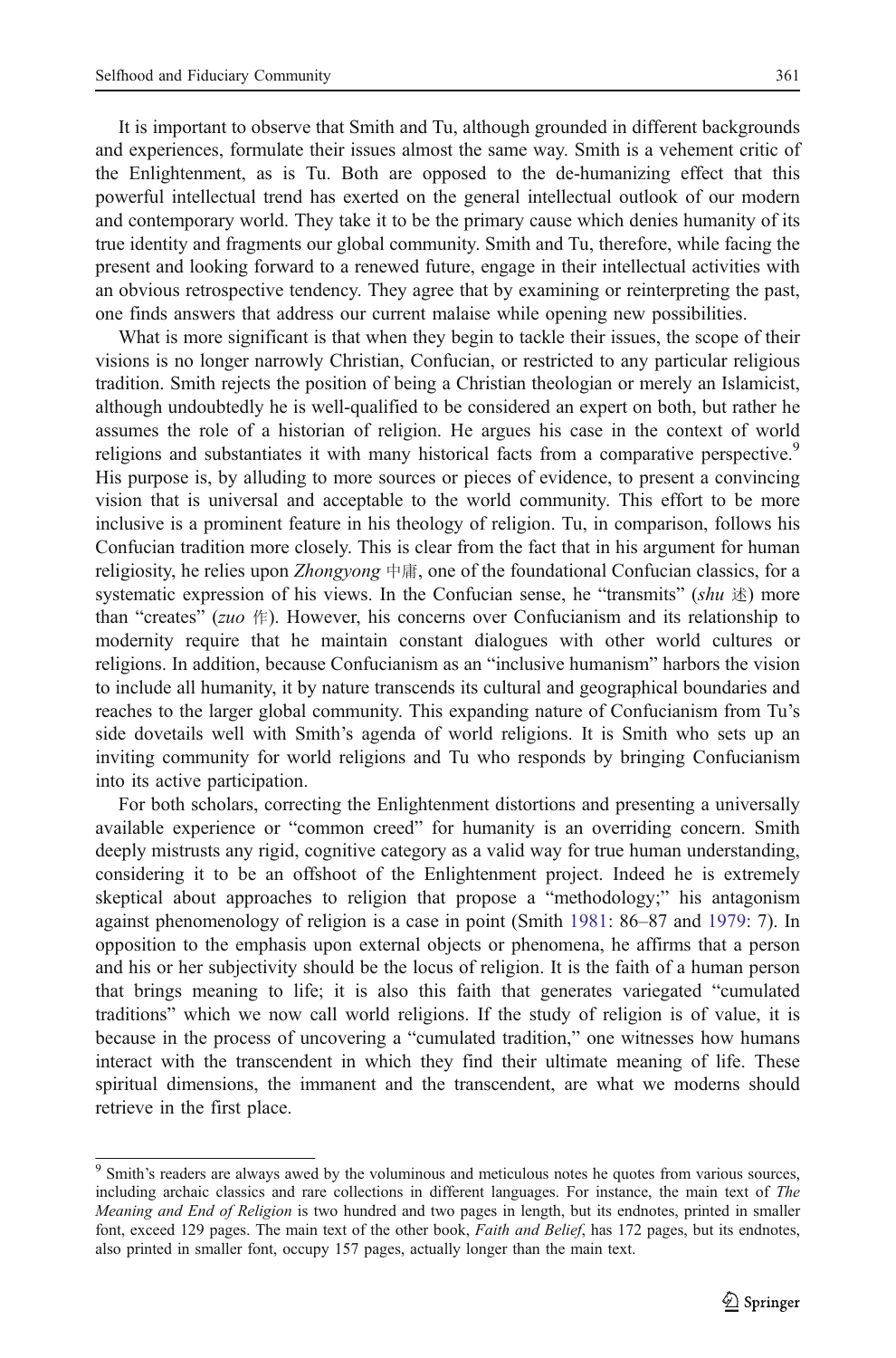It is important to observe that Smith and Tu, although grounded in different backgrounds and experiences, formulate their issues almost the same way. Smith is a vehement critic of the Enlightenment, as is Tu. Both are opposed to the de-humanizing effect that this powerful intellectual trend has exerted on the general intellectual outlook of our modern and contemporary world. They take it to be the primary cause which denies humanity of its true identity and fragments our global community. Smith and Tu, therefore, while facing the present and looking forward to a renewed future, engage in their intellectual activities with an obvious retrospective tendency. They agree that by examining or reinterpreting the past, one finds answers that address our current malaise while opening new possibilities.

What is more significant is that when they begin to tackle their issues, the scope of their visions is no longer narrowly Christian, Confucian, or restricted to any particular religious tradition. Smith rejects the position of being a Christian theologian or merely an Islamicist, although undoubtedly he is well-qualified to be considered an expert on both, but rather he assumes the role of a historian of religion. He argues his case in the context of world religions and substantiates it with many historical facts from a comparative perspective.<sup>9</sup> His purpose is, by alluding to more sources or pieces of evidence, to present a convincing vision that is universal and acceptable to the world community. This effort to be more inclusive is a prominent feature in his theology of religion. Tu, in comparison, follows his Confucian tradition more closely. This is clear from the fact that in his argument for human religiosity, he relies upon *Zhongyong* 中庸, one of the foundational Confucian classics, for a systematic expression of his views. In the Confucian sense, he "transmits"  $(\textit{shu} \, \nvert x)$  more than "creates" (*zuo*  $\#$ ). However, his concerns over Confucianism and its relationship to modernity require that he maintain constant dialogues with other world cultures or religions. In addition, because Confucianism as an "inclusive humanism" harbors the vision to include all humanity, it by nature transcends its cultural and geographical boundaries and reaches to the larger global community. This expanding nature of Confucianism from Tu's side dovetails well with Smith's agenda of world religions. It is Smith who sets up an inviting community for world religions and Tu who responds by bringing Confucianism into its active participation.

For both scholars, correcting the Enlightenment distortions and presenting a universally available experience or "common creed" for humanity is an overriding concern. Smith deeply mistrusts any rigid, cognitive category as a valid way for true human understanding, considering it to be an offshoot of the Enlightenment project. Indeed he is extremely skeptical about approaches to religion that propose a "methodology;" his antagonism against phenomenology of religion is a case in point (Smith [1981](#page-16-0): 86–87 and [1979](#page-16-0): 7). In opposition to the emphasis upon external objects or phenomena, he affirms that a person and his or her subjectivity should be the locus of religion. It is the faith of a human person that brings meaning to life; it is also this faith that generates variegated "cumulated traditions" which we now call world religions. If the study of religion is of value, it is because in the process of uncovering a "cumulated tradition," one witnesses how humans interact with the transcendent in which they find their ultimate meaning of life. These spiritual dimensions, the immanent and the transcendent, are what we moderns should retrieve in the first place.

<sup>&</sup>lt;sup>9</sup> Smith's readers are always awed by the voluminous and meticulous notes he quotes from various sources, including archaic classics and rare collections in different languages. For instance, the main text of The Meaning and End of Religion is two hundred and two pages in length, but its endnotes, printed in smaller font, exceed 129 pages. The main text of the other book, *Faith and Belief*, has 172 pages, but its endnotes, also printed in smaller font, occupy 157 pages, actually longer than the main text.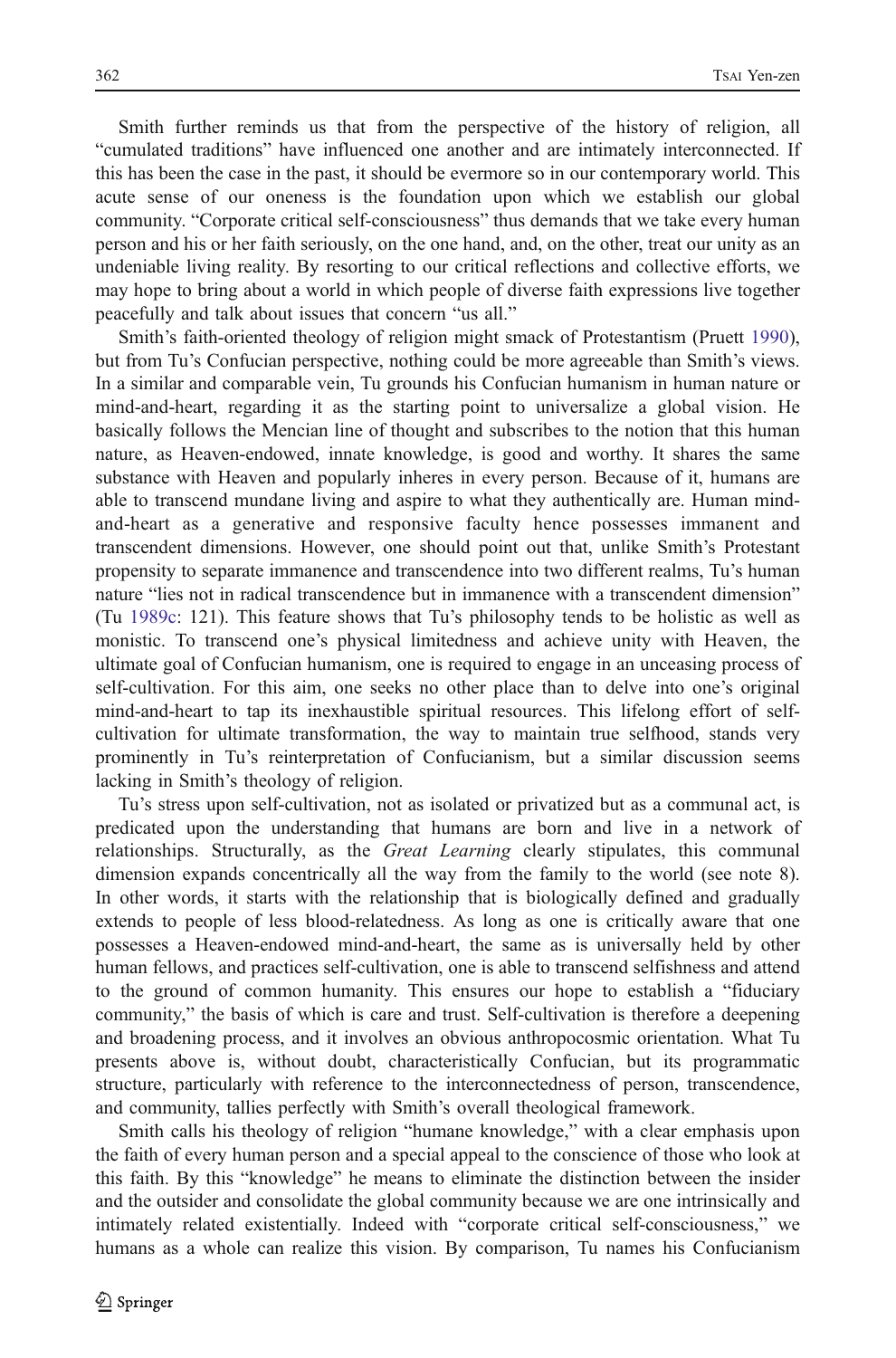Smith further reminds us that from the perspective of the history of religion, all "cumulated traditions" have influenced one another and are intimately interconnected. If this has been the case in the past, it should be evermore so in our contemporary world. This acute sense of our oneness is the foundation upon which we establish our global community. "Corporate critical self-consciousness" thus demands that we take every human person and his or her faith seriously, on the one hand, and, on the other, treat our unity as an undeniable living reality. By resorting to our critical reflections and collective efforts, we may hope to bring about a world in which people of diverse faith expressions live together peacefully and talk about issues that concern "us all."

Smith's faith-oriented theology of religion might smack of Protestantism (Pruett [1990](#page-15-0)), but from Tu's Confucian perspective, nothing could be more agreeable than Smith's views. In a similar and comparable vein, Tu grounds his Confucian humanism in human nature or mind-and-heart, regarding it as the starting point to universalize a global vision. He basically follows the Mencian line of thought and subscribes to the notion that this human nature, as Heaven-endowed, innate knowledge, is good and worthy. It shares the same substance with Heaven and popularly inheres in every person. Because of it, humans are able to transcend mundane living and aspire to what they authentically are. Human mindand-heart as a generative and responsive faculty hence possesses immanent and transcendent dimensions. However, one should point out that, unlike Smith's Protestant propensity to separate immanence and transcendence into two different realms, Tu's human nature "lies not in radical transcendence but in immanence with a transcendent dimension" (Tu [1989c:](#page-16-0) 121). This feature shows that Tu's philosophy tends to be holistic as well as monistic. To transcend one's physical limitedness and achieve unity with Heaven, the ultimate goal of Confucian humanism, one is required to engage in an unceasing process of self-cultivation. For this aim, one seeks no other place than to delve into one's original mind-and-heart to tap its inexhaustible spiritual resources. This lifelong effort of selfcultivation for ultimate transformation, the way to maintain true selfhood, stands very prominently in Tu's reinterpretation of Confucianism, but a similar discussion seems lacking in Smith's theology of religion.

Tu's stress upon self-cultivation, not as isolated or privatized but as a communal act, is predicated upon the understanding that humans are born and live in a network of relationships. Structurally, as the Great Learning clearly stipulates, this communal dimension expands concentrically all the way from the family to the world (see note 8). In other words, it starts with the relationship that is biologically defined and gradually extends to people of less blood-relatedness. As long as one is critically aware that one possesses a Heaven-endowed mind-and-heart, the same as is universally held by other human fellows, and practices self-cultivation, one is able to transcend selfishness and attend to the ground of common humanity. This ensures our hope to establish a "fiduciary community," the basis of which is care and trust. Self-cultivation is therefore a deepening and broadening process, and it involves an obvious anthropocosmic orientation. What Tu presents above is, without doubt, characteristically Confucian, but its programmatic structure, particularly with reference to the interconnectedness of person, transcendence, and community, tallies perfectly with Smith's overall theological framework.

Smith calls his theology of religion "humane knowledge," with a clear emphasis upon the faith of every human person and a special appeal to the conscience of those who look at this faith. By this "knowledge" he means to eliminate the distinction between the insider and the outsider and consolidate the global community because we are one intrinsically and intimately related existentially. Indeed with "corporate critical self-consciousness," we humans as a whole can realize this vision. By comparison, Tu names his Confucianism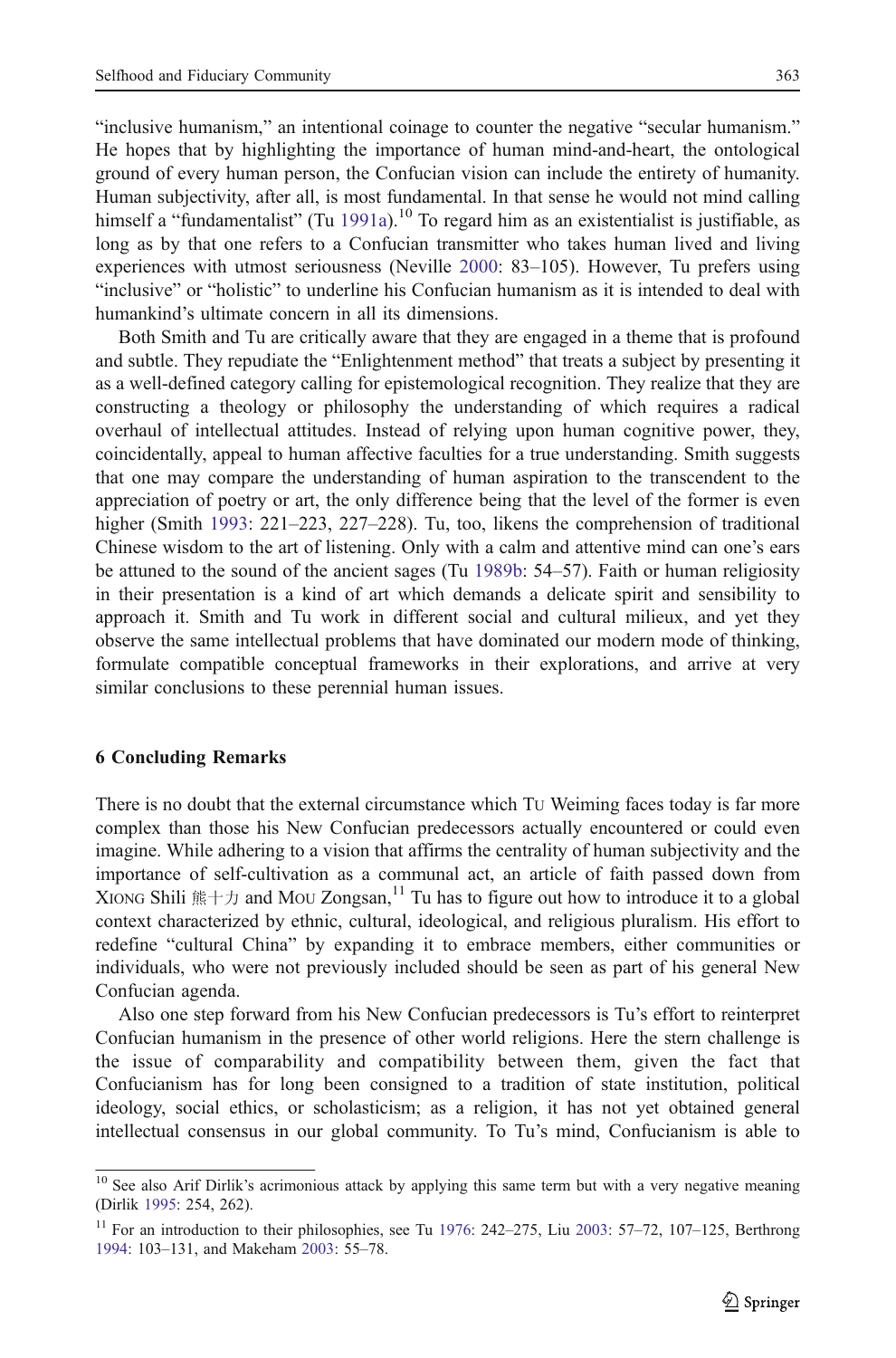"inclusive humanism," an intentional coinage to counter the negative "secular humanism." He hopes that by highlighting the importance of human mind-and-heart, the ontological ground of every human person, the Confucian vision can include the entirety of humanity. Human subjectivity, after all, is most fundamental. In that sense he would not mind calling himself a "fundamentalist" (Tu [1991a\)](#page-16-0).<sup>10</sup> To regard him as an existentialist is justifiable, as long as by that one refers to a Confucian transmitter who takes human lived and living experiences with utmost seriousness (Neville [2000](#page-15-0): 83–105). However, Tu prefers using "inclusive" or "holistic" to underline his Confucian humanism as it is intended to deal with humankind's ultimate concern in all its dimensions.

Both Smith and Tu are critically aware that they are engaged in a theme that is profound and subtle. They repudiate the "Enlightenment method" that treats a subject by presenting it as a well-defined category calling for epistemological recognition. They realize that they are constructing a theology or philosophy the understanding of which requires a radical overhaul of intellectual attitudes. Instead of relying upon human cognitive power, they, coincidentally, appeal to human affective faculties for a true understanding. Smith suggests that one may compare the understanding of human aspiration to the transcendent to the appreciation of poetry or art, the only difference being that the level of the former is even higher (Smith [1993:](#page-16-0) 221–223, 227–228). Tu, too, likens the comprehension of traditional Chinese wisdom to the art of listening. Only with a calm and attentive mind can one's ears be attuned to the sound of the ancient sages (Tu [1989b](#page-16-0): 54–57). Faith or human religiosity in their presentation is a kind of art which demands a delicate spirit and sensibility to approach it. Smith and Tu work in different social and cultural milieux, and yet they observe the same intellectual problems that have dominated our modern mode of thinking, formulate compatible conceptual frameworks in their explorations, and arrive at very similar conclusions to these perennial human issues.

#### 6 Concluding Remarks

There is no doubt that the external circumstance which TU Weiming faces today is far more complex than those his New Confucian predecessors actually encountered or could even imagine. While adhering to a vision that affirms the centrality of human subjectivity and the importance of self-cultivation as a communal act, an article of faith passed down from XIONG Shili  $\frac{1}{1}$   $\pm \frac{1}{2}$  and MOU Zongsan,<sup>11</sup> Tu has to figure out how to introduce it to a global context characterized by ethnic, cultural, ideological, and religious pluralism. His effort to redefine "cultural China" by expanding it to embrace members, either communities or individuals, who were not previously included should be seen as part of his general New Confucian agenda.

Also one step forward from his New Confucian predecessors is Tu's effort to reinterpret Confucian humanism in the presence of other world religions. Here the stern challenge is the issue of comparability and compatibility between them, given the fact that Confucianism has for long been consigned to a tradition of state institution, political ideology, social ethics, or scholasticism; as a religion, it has not yet obtained general intellectual consensus in our global community. To Tu's mind, Confucianism is able to

<sup>&</sup>lt;sup>10</sup> See also Arif Dirlik's acrimonious attack by applying this same term but with a very negative meaning (Dirlik [1995:](#page-15-0) 254, 262).

<sup>&</sup>lt;sup>11</sup> For an introduction to their philosophies, see Tu [1976](#page-16-0): 242–275, Liu [2003](#page-15-0): 57–72, 107–125, Berthrong [1994:](#page-15-0) 103–131, and Makeham [2003](#page-15-0): 55–78.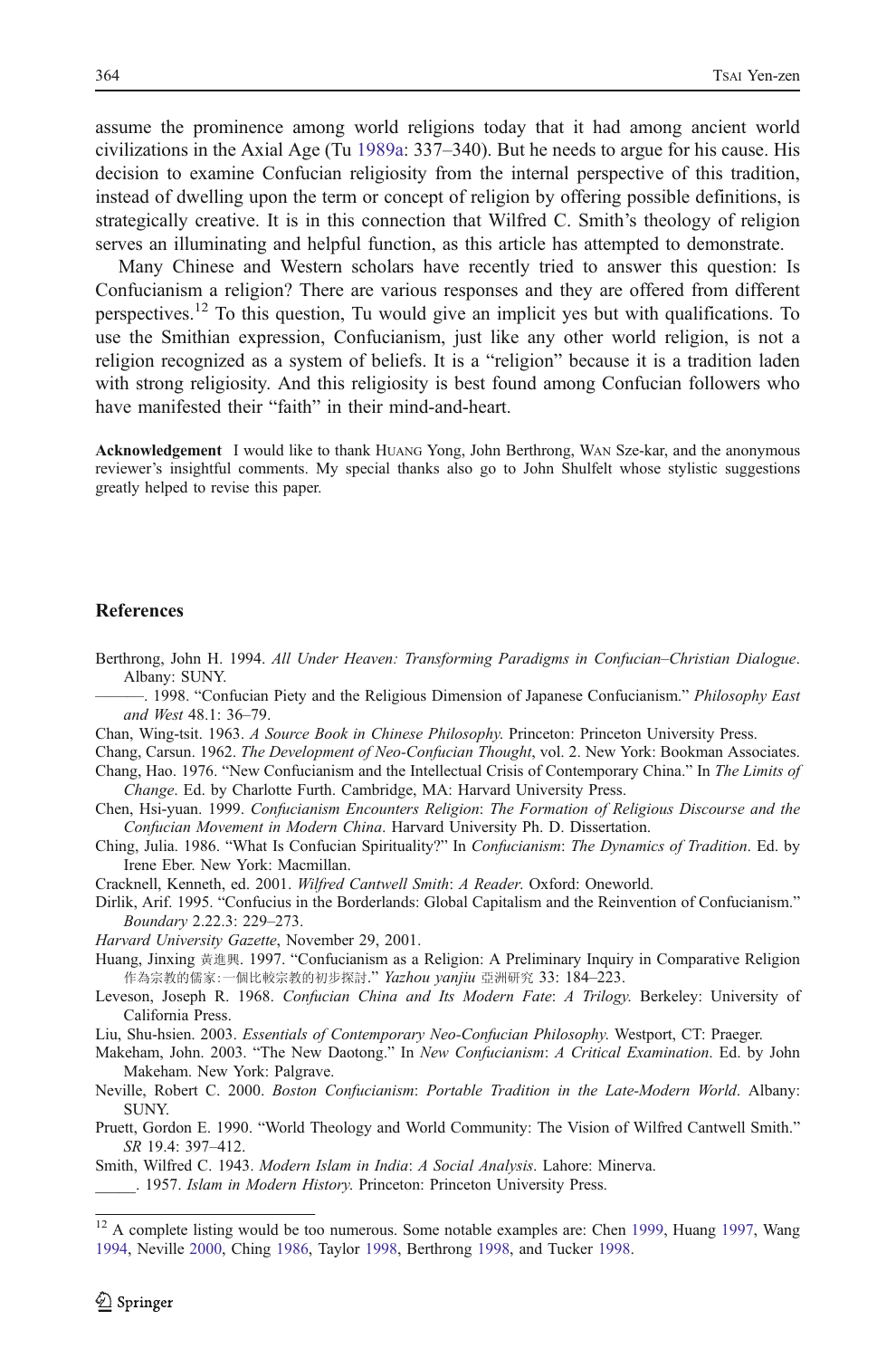<span id="page-15-0"></span>assume the prominence among world religions today that it had among ancient world civilizations in the Axial Age (Tu [1989a](#page-16-0): 337–340). But he needs to argue for his cause. His decision to examine Confucian religiosity from the internal perspective of this tradition, instead of dwelling upon the term or concept of religion by offering possible definitions, is strategically creative. It is in this connection that Wilfred C. Smith's theology of religion serves an illuminating and helpful function, as this article has attempted to demonstrate.

Many Chinese and Western scholars have recently tried to answer this question: Is Confucianism a religion? There are various responses and they are offered from different perspectives.<sup>12</sup> To this question, Tu would give an implicit yes but with qualifications. To use the Smithian expression, Confucianism, just like any other world religion, is not a religion recognized as a system of beliefs. It is a "religion" because it is a tradition laden with strong religiosity. And this religiosity is best found among Confucian followers who have manifested their "faith" in their mind-and-heart.

Acknowledgement I would like to thank HUANG Yong, John Berthrong, WAN Sze-kar, and the anonymous reviewer's insightful comments. My special thanks also go to John Shulfelt whose stylistic suggestions greatly helped to revise this paper.

#### References

- Berthrong, John H. 1994. All Under Heaven: Transforming Paradigms in Confucian*–*Christian Dialogue. Albany: SUNY.
- . 1998. "Confucian Piety and the Religious Dimension of Japanese Confucianism." Philosophy East and West 48.1: 36–79.
- Chan, Wing-tsit. 1963. A Source Book in Chinese Philosophy. Princeton: Princeton University Press.
- Chang, Carsun. 1962. The Development of Neo-Confucian Thought, vol. 2. New York: Bookman Associates.
- Chang, Hao. 1976. "New Confucianism and the Intellectual Crisis of Contemporary China." In The Limits of Change. Ed. by Charlotte Furth. Cambridge, MA: Harvard University Press.
- Chen, Hsi-yuan. 1999. Confucianism Encounters Religion: The Formation of Religious Discourse and the Confucian Movement in Modern China. Harvard University Ph. D. Dissertation.
- Ching, Julia. 1986. "What Is Confucian Spirituality?" In Confucianism: The Dynamics of Tradition. Ed. by Irene Eber. New York: Macmillan.
- Cracknell, Kenneth, ed. 2001. Wilfred Cantwell Smith: A Reader. Oxford: Oneworld.
- Dirlik, Arif. 1995. "Confucius in the Borderlands: Global Capitalism and the Reinvention of Confucianism." Boundary 2.22.3: 229–273.

Harvard University Gazette, November 29, 2001.

- Huang, Jinxing 黃進興. 1997. "Confucianism as a Religion: A Preliminary Inquiry in Comparative Religion 作為宗教的儒家:一個比較宗教的初步探討." Yazhou yanjiu 亞洲研究 33: 184-223.
- Leveson, Joseph R. 1968. Confucian China and Its Modern Fate: A Trilogy. Berkeley: University of California Press.
- Liu, Shu-hsien. 2003. Essentials of Contemporary Neo-Confucian Philosophy. Westport, CT: Praeger.
- Makeham, John. 2003. "The New Daotong." In New Confucianism: A Critical Examination. Ed. by John Makeham. New York: Palgrave.
- Neville, Robert C. 2000. Boston Confucianism: Portable Tradition in the Late-Modern World. Albany: SUNY.
- Pruett, Gordon E. 1990. "World Theology and World Community: The Vision of Wilfred Cantwell Smith." SR 19.4: 397–412.

Smith, Wilfred C. 1943. Modern Islam in India: A Social Analysis. Lahore: Minerva. \_\_\_\_\_. 1957. Islam in Modern History. Princeton: Princeton University Press.

<sup>&</sup>lt;sup>12</sup> A complete listing would be too numerous. Some notable examples are: Chen 1999, Huang 1997, Wang [1994,](#page-16-0) Neville 2000, Ching 1986, Taylor [1998](#page-16-0), Berthrong 1998, and Tucker [1998](#page-16-0).